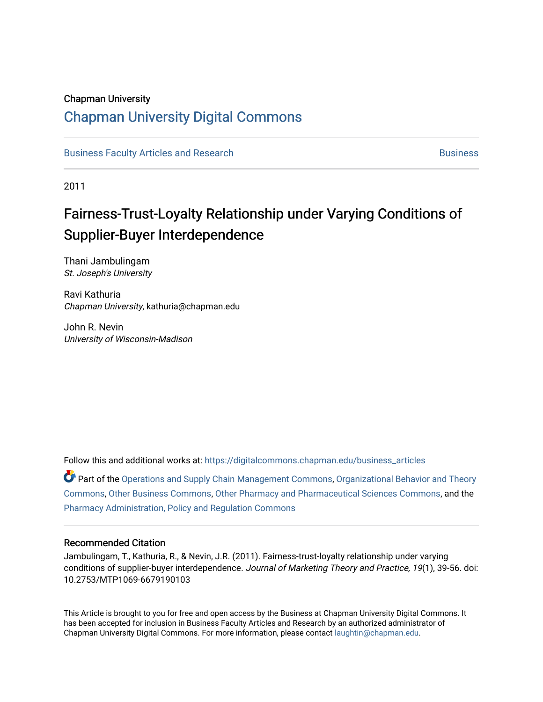## Chapman University

## [Chapman University Digital Commons](https://digitalcommons.chapman.edu/)

[Business Faculty Articles and Research](https://digitalcommons.chapman.edu/business_articles) [Business](https://digitalcommons.chapman.edu/business) **Business** Business

2011

# Fairness-Trust-Loyalty Relationship under Varying Conditions of Supplier-Buyer Interdependence

Thani Jambulingam St. Joseph's University

Ravi Kathuria Chapman University, kathuria@chapman.edu

John R. Nevin University of Wisconsin-Madison

Follow this and additional works at: [https://digitalcommons.chapman.edu/business\\_articles](https://digitalcommons.chapman.edu/business_articles?utm_source=digitalcommons.chapman.edu%2Fbusiness_articles%2F88&utm_medium=PDF&utm_campaign=PDFCoverPages) 

**C** Part of the [Operations and Supply Chain Management Commons,](http://network.bepress.com/hgg/discipline/1229?utm_source=digitalcommons.chapman.edu%2Fbusiness_articles%2F88&utm_medium=PDF&utm_campaign=PDFCoverPages) [Organizational Behavior and Theory](http://network.bepress.com/hgg/discipline/639?utm_source=digitalcommons.chapman.edu%2Fbusiness_articles%2F88&utm_medium=PDF&utm_campaign=PDFCoverPages) [Commons](http://network.bepress.com/hgg/discipline/639?utm_source=digitalcommons.chapman.edu%2Fbusiness_articles%2F88&utm_medium=PDF&utm_campaign=PDFCoverPages), [Other Business Commons](http://network.bepress.com/hgg/discipline/647?utm_source=digitalcommons.chapman.edu%2Fbusiness_articles%2F88&utm_medium=PDF&utm_campaign=PDFCoverPages), [Other Pharmacy and Pharmaceutical Sciences Commons,](http://network.bepress.com/hgg/discipline/737?utm_source=digitalcommons.chapman.edu%2Fbusiness_articles%2F88&utm_medium=PDF&utm_campaign=PDFCoverPages) and the [Pharmacy Administration, Policy and Regulation Commons](http://network.bepress.com/hgg/discipline/732?utm_source=digitalcommons.chapman.edu%2Fbusiness_articles%2F88&utm_medium=PDF&utm_campaign=PDFCoverPages)

#### Recommended Citation

Jambulingam, T., Kathuria, R., & Nevin, J.R. (2011). Fairness-trust-loyalty relationship under varying conditions of supplier-buyer interdependence. Journal of Marketing Theory and Practice, 19(1), 39-56. doi: 10.2753/MTP1069-6679190103

This Article is brought to you for free and open access by the Business at Chapman University Digital Commons. It has been accepted for inclusion in Business Faculty Articles and Research by an authorized administrator of Chapman University Digital Commons. For more information, please contact [laughtin@chapman.edu](mailto:laughtin@chapman.edu).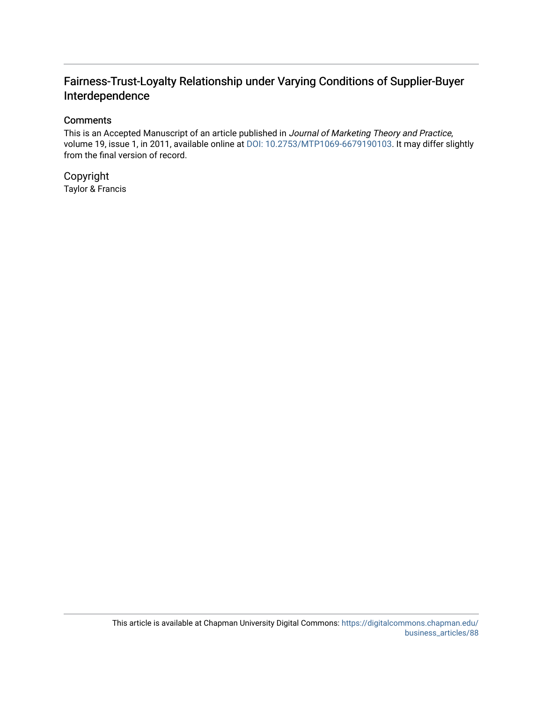## Fairness-Trust-Loyalty Relationship under Varying Conditions of Supplier-Buyer Interdependence

## **Comments**

This is an Accepted Manuscript of an article published in Journal of Marketing Theory and Practice, volume 19, issue 1, in 2011, available online at [DOI: 10.2753/MTP1069-6679190103.](https://doi.org/10.2753/MTP1069-6679190103) It may differ slightly from the final version of record.

Copyright Taylor & Francis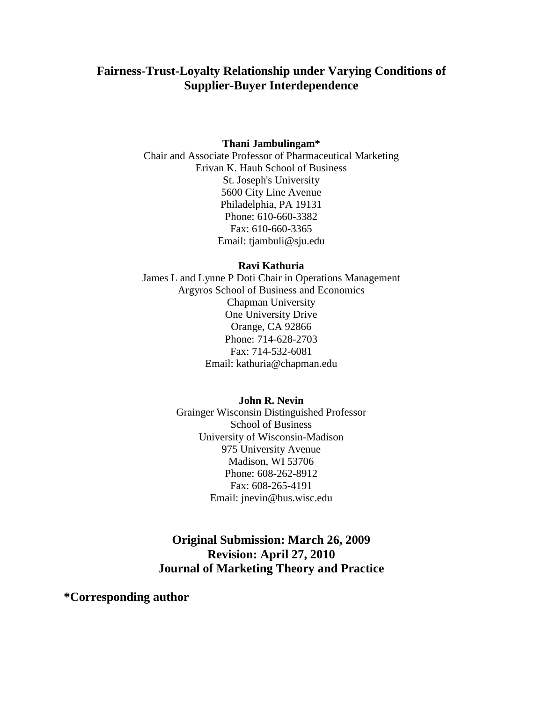## **Fairness-Trust-Loyalty Relationship under Varying Conditions of Supplier-Buyer Interdependence**

#### **Thani Jambulingam\***

Chair and Associate Professor of Pharmaceutical Marketing Erivan K. Haub School of Business St. Joseph's University 5600 City Line Avenue Philadelphia, PA 19131 Phone: 610-660-3382 Fax: 610-660-3365 Email: tjambuli@sju.edu

### **Ravi Kathuria**

James L and Lynne P Doti Chair in Operations Management Argyros School of Business and Economics Chapman University One University Drive Orange, CA 92866 Phone: 714-628-2703 Fax: 714-532-6081 Email: kathuria@chapman.edu

## **John R. Nevin**

Grainger Wisconsin Distinguished Professor School of Business University of Wisconsin-Madison 975 University Avenue Madison, WI 53706 Phone: 608-262-8912 Fax: 608-265-4191 Email: jnevin@bus.wisc.edu

## **Original Submission: March 26, 2009 Revision: April 27, 2010 Journal of Marketing Theory and Practice**

**\*Corresponding author**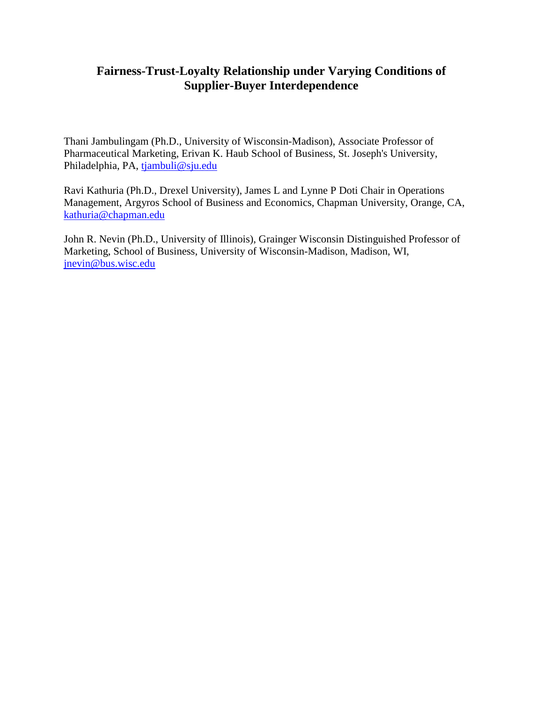## **Fairness-Trust-Loyalty Relationship under Varying Conditions of Supplier-Buyer Interdependence**

Thani Jambulingam (Ph.D., University of Wisconsin-Madison), Associate Professor of Pharmaceutical Marketing, Erivan K. Haub School of Business, St. Joseph's University, Philadelphia, PA, [tjambuli@sju.edu](mailto:tjambuli@sju.edu)

Ravi Kathuria (Ph.D., Drexel University), James L and Lynne P Doti Chair in Operations Management, Argyros School of Business and Economics, Chapman University, Orange, CA, [kathuria@chapman.edu](mailto:kathuria@chapman.edu)

John R. Nevin (Ph.D., University of Illinois), Grainger Wisconsin Distinguished Professor of Marketing, School of Business, University of Wisconsin-Madison, Madison, WI, [jnevin@bus.wisc.edu](mailto:jnevin@bus.wisc.edu)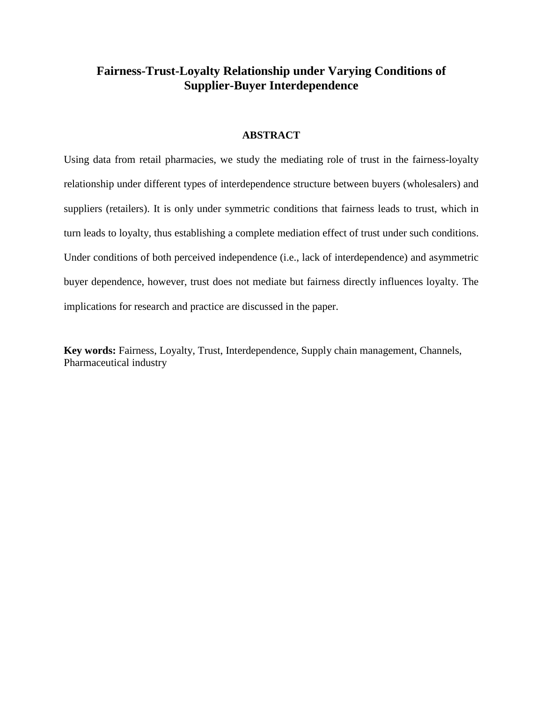## **Fairness-Trust-Loyalty Relationship under Varying Conditions of Supplier-Buyer Interdependence**

## **ABSTRACT**

Using data from retail pharmacies, we study the mediating role of trust in the fairness-loyalty relationship under different types of interdependence structure between buyers (wholesalers) and suppliers (retailers). It is only under symmetric conditions that fairness leads to trust, which in turn leads to loyalty, thus establishing a complete mediation effect of trust under such conditions. Under conditions of both perceived independence (i.e., lack of interdependence) and asymmetric buyer dependence, however, trust does not mediate but fairness directly influences loyalty. The implications for research and practice are discussed in the paper.

**Key words:** Fairness, Loyalty, Trust, Interdependence, Supply chain management, Channels, Pharmaceutical industry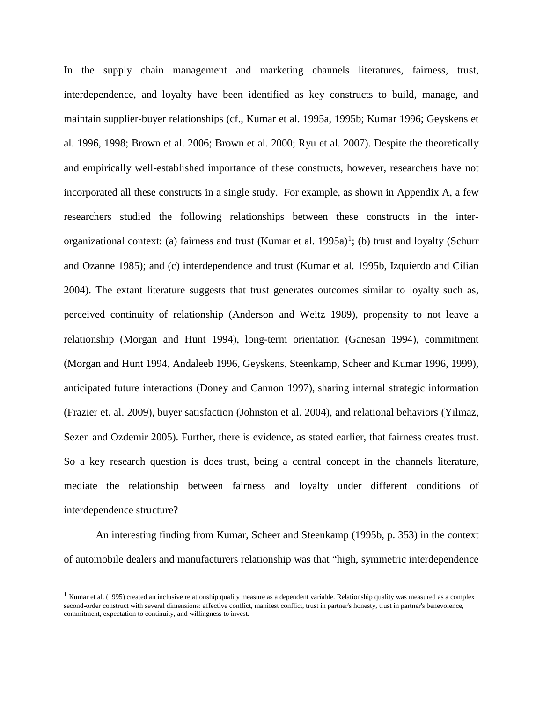In the supply chain management and marketing channels literatures, fairness, trust, interdependence, and loyalty have been identified as key constructs to build, manage, and maintain supplier-buyer relationships (cf., Kumar et al. 1995a, 1995b; Kumar 1996; Geyskens et al. 1996, 1998; Brown et al. 2006; Brown et al. 2000; Ryu et al. 2007). Despite the theoretically and empirically well-established importance of these constructs, however, researchers have not incorporated all these constructs in a single study. For example, as shown in Appendix A, a few researchers studied the following relationships between these constructs in the interorganizational context: (a) fairness and trust (Kumar et al.  $1995a)^{1}$  $1995a)^{1}$ ; (b) trust and loyalty (Schurr and Ozanne 1985); and (c) interdependence and trust (Kumar et al. 1995b, Izquierdo and Cilian 2004). The extant literature suggests that trust generates outcomes similar to loyalty such as, perceived continuity of relationship (Anderson and Weitz 1989), propensity to not leave a relationship (Morgan and Hunt 1994), long-term orientation (Ganesan 1994), commitment (Morgan and Hunt 1994, Andaleeb 1996, Geyskens, Steenkamp, Scheer and Kumar 1996, 1999), anticipated future interactions (Doney and Cannon 1997), sharing internal strategic information (Frazier et. al. 2009), buyer satisfaction (Johnston et al. 2004), and relational behaviors (Yilmaz, Sezen and Ozdemir 2005). Further, there is evidence, as stated earlier, that fairness creates trust. So a key research question is does trust, being a central concept in the channels literature, mediate the relationship between fairness and loyalty under different conditions of interdependence structure?

An interesting finding from Kumar, Scheer and Steenkamp (1995b, p. 353) in the context of automobile dealers and manufacturers relationship was that "high, symmetric interdependence

<span id="page-5-0"></span><sup>&</sup>lt;sup>1</sup> Kumar et al. (1995) created an inclusive relationship quality measure as a dependent variable. Relationship quality was measured as a complex second-order construct with several dimensions: affective conflict, manifest conflict, trust in partner's honesty, trust in partner's benevolence, commitment, expectation to continuity, and willingness to invest.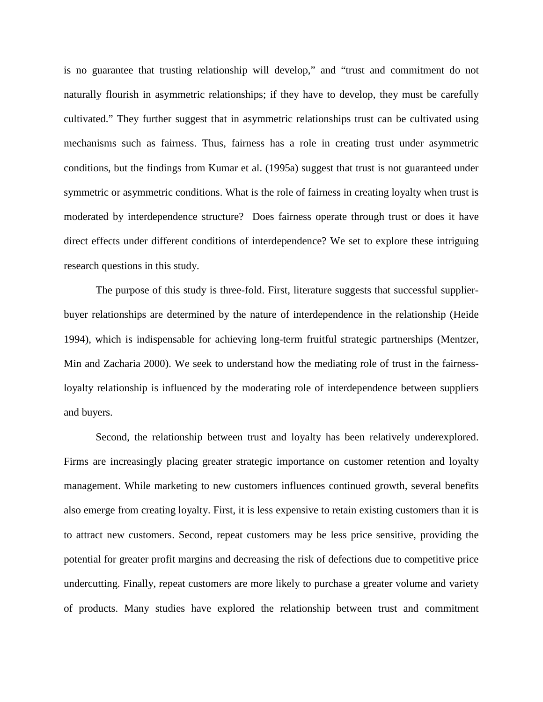is no guarantee that trusting relationship will develop," and "trust and commitment do not naturally flourish in asymmetric relationships; if they have to develop, they must be carefully cultivated." They further suggest that in asymmetric relationships trust can be cultivated using mechanisms such as fairness. Thus, fairness has a role in creating trust under asymmetric conditions, but the findings from Kumar et al. (1995a) suggest that trust is not guaranteed under symmetric or asymmetric conditions. What is the role of fairness in creating loyalty when trust is moderated by interdependence structure? Does fairness operate through trust or does it have direct effects under different conditions of interdependence? We set to explore these intriguing research questions in this study.

The purpose of this study is three-fold. First, literature suggests that successful supplierbuyer relationships are determined by the nature of interdependence in the relationship (Heide 1994), which is indispensable for achieving long-term fruitful strategic partnerships (Mentzer, Min and Zacharia 2000). We seek to understand how the mediating role of trust in the fairnessloyalty relationship is influenced by the moderating role of interdependence between suppliers and buyers.

Second, the relationship between trust and loyalty has been relatively underexplored. Firms are increasingly placing greater strategic importance on customer retention and loyalty management. While marketing to new customers influences continued growth, several benefits also emerge from creating loyalty. First, it is less expensive to retain existing customers than it is to attract new customers. Second, repeat customers may be less price sensitive, providing the potential for greater profit margins and decreasing the risk of defections due to competitive price undercutting. Finally, repeat customers are more likely to purchase a greater volume and variety of products. Many studies have explored the relationship between trust and commitment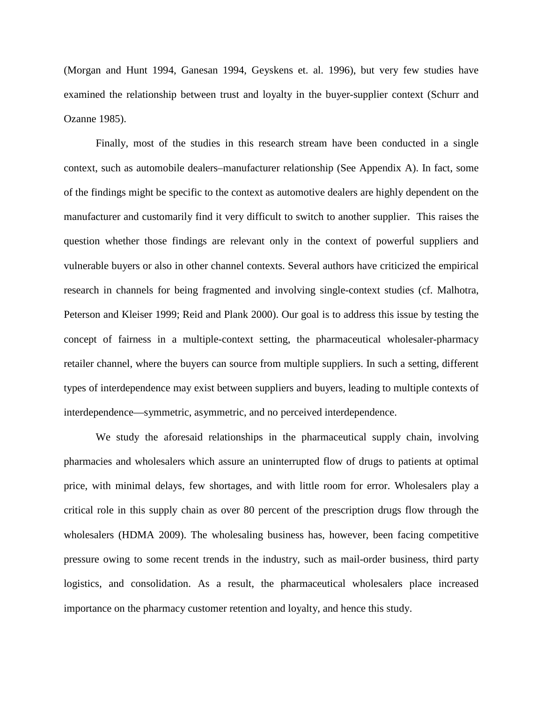(Morgan and Hunt 1994, Ganesan 1994, Geyskens et. al. 1996), but very few studies have examined the relationship between trust and loyalty in the buyer-supplier context (Schurr and Ozanne 1985).

Finally, most of the studies in this research stream have been conducted in a single context, such as automobile dealers–manufacturer relationship (See Appendix A). In fact, some of the findings might be specific to the context as automotive dealers are highly dependent on the manufacturer and customarily find it very difficult to switch to another supplier. This raises the question whether those findings are relevant only in the context of powerful suppliers and vulnerable buyers or also in other channel contexts. Several authors have criticized the empirical research in channels for being fragmented and involving single-context studies (cf. Malhotra, Peterson and Kleiser 1999; Reid and Plank 2000). Our goal is to address this issue by testing the concept of fairness in a multiple-context setting, the pharmaceutical wholesaler-pharmacy retailer channel, where the buyers can source from multiple suppliers. In such a setting, different types of interdependence may exist between suppliers and buyers, leading to multiple contexts of interdependence—symmetric, asymmetric, and no perceived interdependence.

We study the aforesaid relationships in the pharmaceutical supply chain, involving pharmacies and wholesalers which assure an uninterrupted flow of drugs to patients at optimal price, with minimal delays, few shortages, and with little room for error. Wholesalers play a critical role in this supply chain as over 80 percent of the prescription drugs flow through the wholesalers (HDMA 2009). The wholesaling business has, however, been facing competitive pressure owing to some recent trends in the industry, such as mail-order business, third party logistics, and consolidation. As a result, the pharmaceutical wholesalers place increased importance on the pharmacy customer retention and loyalty, and hence this study.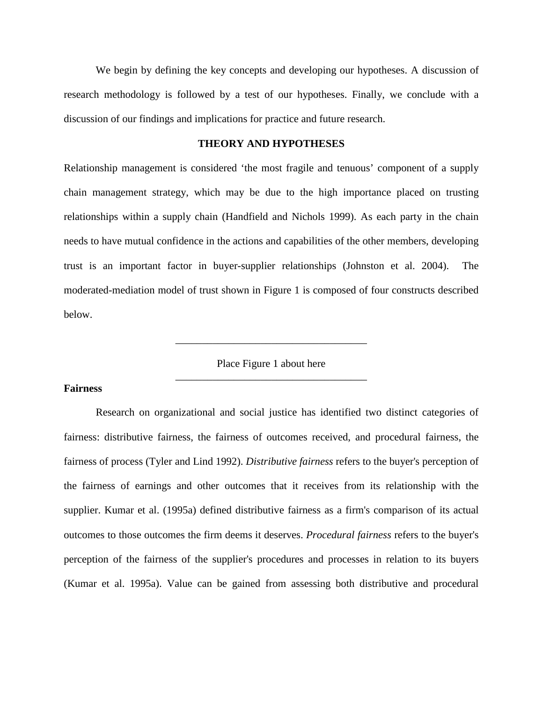We begin by defining the key concepts and developing our hypotheses. A discussion of research methodology is followed by a test of our hypotheses. Finally, we conclude with a discussion of our findings and implications for practice and future research.

### **THEORY AND HYPOTHESES**

Relationship management is considered 'the most fragile and tenuous' component of a supply chain management strategy, which may be due to the high importance placed on trusting relationships within a supply chain (Handfield and Nichols 1999). As each party in the chain needs to have mutual confidence in the actions and capabilities of the other members, developing trust is an important factor in buyer-supplier relationships (Johnston et al. 2004). The moderated-mediation model of trust shown in Figure 1 is composed of four constructs described below.

> Place Figure 1 about here \_\_\_\_\_\_\_\_\_\_\_\_\_\_\_\_\_\_\_\_\_\_\_\_\_\_\_\_\_\_\_\_\_\_\_\_

> \_\_\_\_\_\_\_\_\_\_\_\_\_\_\_\_\_\_\_\_\_\_\_\_\_\_\_\_\_\_\_\_\_\_\_\_

## **Fairness**

Research on organizational and social justice has identified two distinct categories of fairness: distributive fairness, the fairness of outcomes received, and procedural fairness, the fairness of process (Tyler and Lind 1992). *Distributive fairness* refers to the buyer's perception of the fairness of earnings and other outcomes that it receives from its relationship with the supplier. Kumar et al. (1995a) defined distributive fairness as a firm's comparison of its actual outcomes to those outcomes the firm deems it deserves. *Procedural fairness* refers to the buyer's perception of the fairness of the supplier's procedures and processes in relation to its buyers (Kumar et al. 1995a). Value can be gained from assessing both distributive and procedural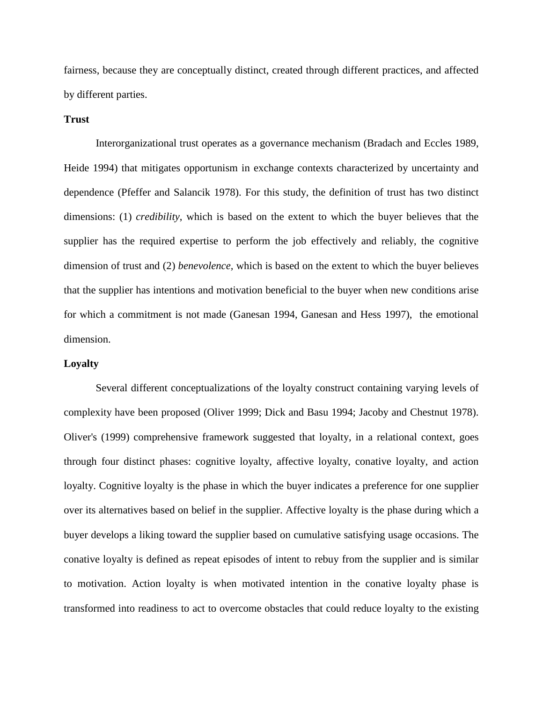fairness, because they are conceptually distinct, created through different practices, and affected by different parties.

### **Trust**

Interorganizational trust operates as a governance mechanism (Bradach and Eccles 1989, Heide 1994) that mitigates opportunism in exchange contexts characterized by uncertainty and dependence (Pfeffer and Salancik 1978). For this study, the definition of trust has two distinct dimensions: (1) *credibility*, which is based on the extent to which the buyer believes that the supplier has the required expertise to perform the job effectively and reliably, the cognitive dimension of trust and (2) *benevolence,* which is based on the extent to which the buyer believes that the supplier has intentions and motivation beneficial to the buyer when new conditions arise for which a commitment is not made (Ganesan 1994, Ganesan and Hess 1997), the emotional dimension.

## **Loyalty**

Several different conceptualizations of the loyalty construct containing varying levels of complexity have been proposed (Oliver 1999; Dick and Basu 1994; Jacoby and Chestnut 1978). Oliver's (1999) comprehensive framework suggested that loyalty, in a relational context, goes through four distinct phases: cognitive loyalty, affective loyalty, conative loyalty, and action loyalty. Cognitive loyalty is the phase in which the buyer indicates a preference for one supplier over its alternatives based on belief in the supplier. Affective loyalty is the phase during which a buyer develops a liking toward the supplier based on cumulative satisfying usage occasions. The conative loyalty is defined as repeat episodes of intent to rebuy from the supplier and is similar to motivation. Action loyalty is when motivated intention in the conative loyalty phase is transformed into readiness to act to overcome obstacles that could reduce loyalty to the existing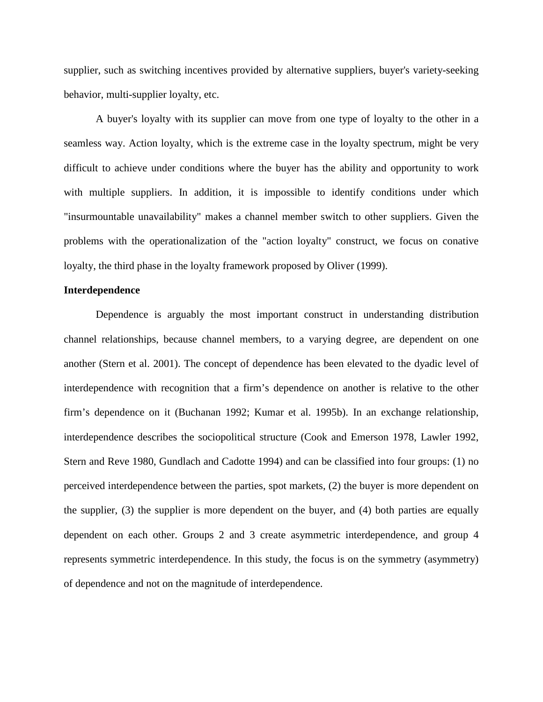supplier, such as switching incentives provided by alternative suppliers, buyer's variety-seeking behavior, multi-supplier loyalty, etc.

A buyer's loyalty with its supplier can move from one type of loyalty to the other in a seamless way. Action loyalty, which is the extreme case in the loyalty spectrum, might be very difficult to achieve under conditions where the buyer has the ability and opportunity to work with multiple suppliers. In addition, it is impossible to identify conditions under which "insurmountable unavailability" makes a channel member switch to other suppliers. Given the problems with the operationalization of the "action loyalty" construct, we focus on conative loyalty, the third phase in the loyalty framework proposed by Oliver (1999).

## **Interdependence**

Dependence is arguably the most important construct in understanding distribution channel relationships, because channel members, to a varying degree, are dependent on one another (Stern et al. 2001). The concept of dependence has been elevated to the dyadic level of interdependence with recognition that a firm's dependence on another is relative to the other firm's dependence on it (Buchanan 1992; Kumar et al. 1995b). In an exchange relationship, interdependence describes the sociopolitical structure (Cook and Emerson 1978, Lawler 1992, Stern and Reve 1980, Gundlach and Cadotte 1994) and can be classified into four groups: (1) no perceived interdependence between the parties, spot markets, (2) the buyer is more dependent on the supplier, (3) the supplier is more dependent on the buyer, and (4) both parties are equally dependent on each other. Groups 2 and 3 create asymmetric interdependence, and group 4 represents symmetric interdependence. In this study, the focus is on the symmetry (asymmetry) of dependence and not on the magnitude of interdependence.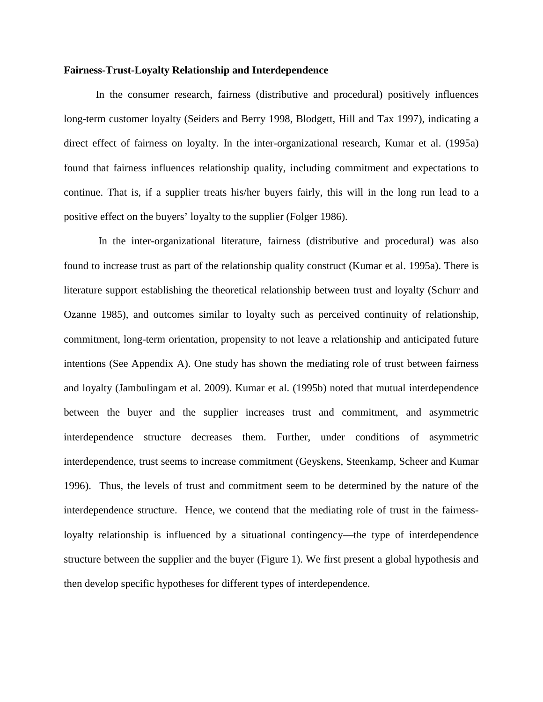## **Fairness-Trust-Loyalty Relationship and Interdependence**

In the consumer research, fairness (distributive and procedural) positively influences long-term customer loyalty (Seiders and Berry 1998, Blodgett, Hill and Tax 1997), indicating a direct effect of fairness on loyalty. In the inter-organizational research, Kumar et al. (1995a) found that fairness influences relationship quality, including commitment and expectations to continue. That is, if a supplier treats his/her buyers fairly, this will in the long run lead to a positive effect on the buyers' loyalty to the supplier (Folger 1986).

In the inter-organizational literature, fairness (distributive and procedural) was also found to increase trust as part of the relationship quality construct (Kumar et al. 1995a). There is literature support establishing the theoretical relationship between trust and loyalty (Schurr and Ozanne 1985), and outcomes similar to loyalty such as perceived continuity of relationship, commitment, long-term orientation, propensity to not leave a relationship and anticipated future intentions (See Appendix A). One study has shown the mediating role of trust between fairness and loyalty (Jambulingam et al. 2009). Kumar et al. (1995b) noted that mutual interdependence between the buyer and the supplier increases trust and commitment, and asymmetric interdependence structure decreases them. Further, under conditions of asymmetric interdependence, trust seems to increase commitment (Geyskens, Steenkamp, Scheer and Kumar 1996). Thus, the levels of trust and commitment seem to be determined by the nature of the interdependence structure. Hence, we contend that the mediating role of trust in the fairnessloyalty relationship is influenced by a situational contingency—the type of interdependence structure between the supplier and the buyer (Figure 1). We first present a global hypothesis and then develop specific hypotheses for different types of interdependence.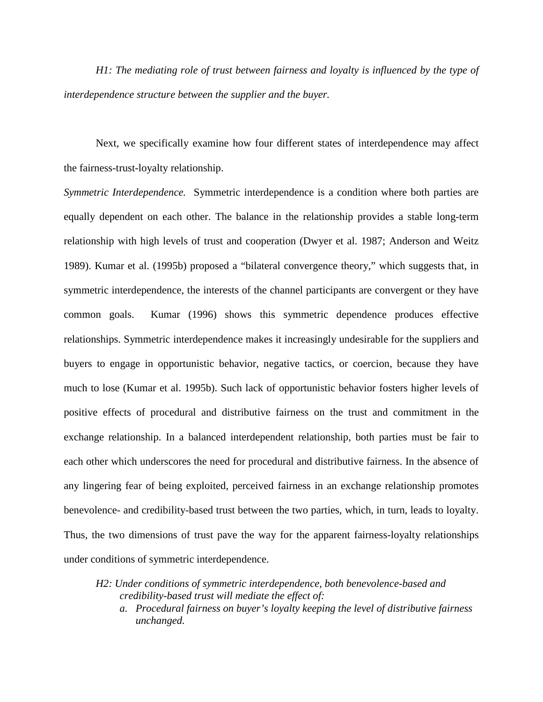*H1: The mediating role of trust between fairness and loyalty is influenced by the type of interdependence structure between the supplier and the buyer.* 

Next, we specifically examine how four different states of interdependence may affect the fairness-trust-loyalty relationship.

*Symmetric Interdependence.* Symmetric interdependence is a condition where both parties are equally dependent on each other. The balance in the relationship provides a stable long-term relationship with high levels of trust and cooperation (Dwyer et al. 1987; Anderson and Weitz 1989). Kumar et al. (1995b) proposed a "bilateral convergence theory," which suggests that, in symmetric interdependence, the interests of the channel participants are convergent or they have common goals. Kumar (1996) shows this symmetric dependence produces effective relationships. Symmetric interdependence makes it increasingly undesirable for the suppliers and buyers to engage in opportunistic behavior, negative tactics, or coercion, because they have much to lose (Kumar et al. 1995b). Such lack of opportunistic behavior fosters higher levels of positive effects of procedural and distributive fairness on the trust and commitment in the exchange relationship. In a balanced interdependent relationship, both parties must be fair to each other which underscores the need for procedural and distributive fairness. In the absence of any lingering fear of being exploited, perceived fairness in an exchange relationship promotes benevolence- and credibility-based trust between the two parties, which, in turn, leads to loyalty. Thus, the two dimensions of trust pave the way for the apparent fairness-loyalty relationships under conditions of symmetric interdependence.

*a. Procedural fairness on buyer's loyalty keeping the level of distributive fairness unchanged.*

*H2: Under conditions of symmetric interdependence, both benevolence-based and credibility-based trust will mediate the effect of:*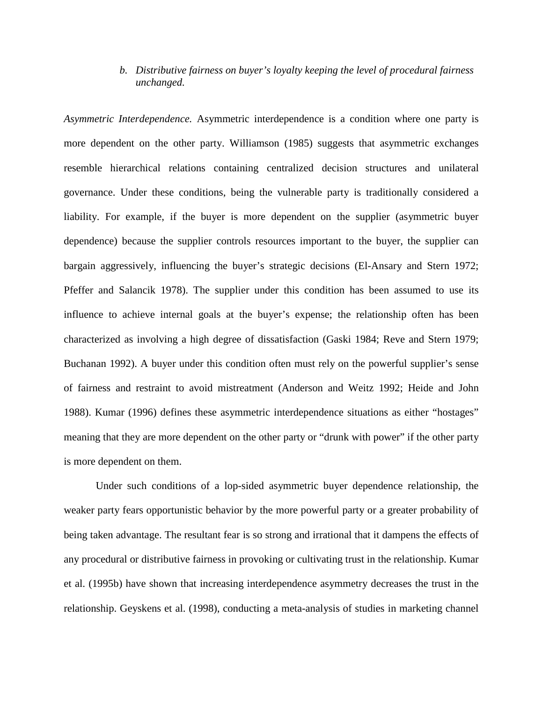## *b. Distributive fairness on buyer's loyalty keeping the level of procedural fairness unchanged.*

*Asymmetric Interdependence.* Asymmetric interdependence is a condition where one party is more dependent on the other party. Williamson (1985) suggests that asymmetric exchanges resemble hierarchical relations containing centralized decision structures and unilateral governance. Under these conditions, being the vulnerable party is traditionally considered a liability. For example, if the buyer is more dependent on the supplier (asymmetric buyer dependence) because the supplier controls resources important to the buyer, the supplier can bargain aggressively, influencing the buyer's strategic decisions (El-Ansary and Stern 1972; Pfeffer and Salancik 1978). The supplier under this condition has been assumed to use its influence to achieve internal goals at the buyer's expense; the relationship often has been characterized as involving a high degree of dissatisfaction (Gaski 1984; Reve and Stern 1979; Buchanan 1992). A buyer under this condition often must rely on the powerful supplier's sense of fairness and restraint to avoid mistreatment (Anderson and Weitz 1992; Heide and John 1988). Kumar (1996) defines these asymmetric interdependence situations as either "hostages" meaning that they are more dependent on the other party or "drunk with power" if the other party is more dependent on them.

Under such conditions of a lop-sided asymmetric buyer dependence relationship, the weaker party fears opportunistic behavior by the more powerful party or a greater probability of being taken advantage. The resultant fear is so strong and irrational that it dampens the effects of any procedural or distributive fairness in provoking or cultivating trust in the relationship. Kumar et al. (1995b) have shown that increasing interdependence asymmetry decreases the trust in the relationship. Geyskens et al. (1998), conducting a meta-analysis of studies in marketing channel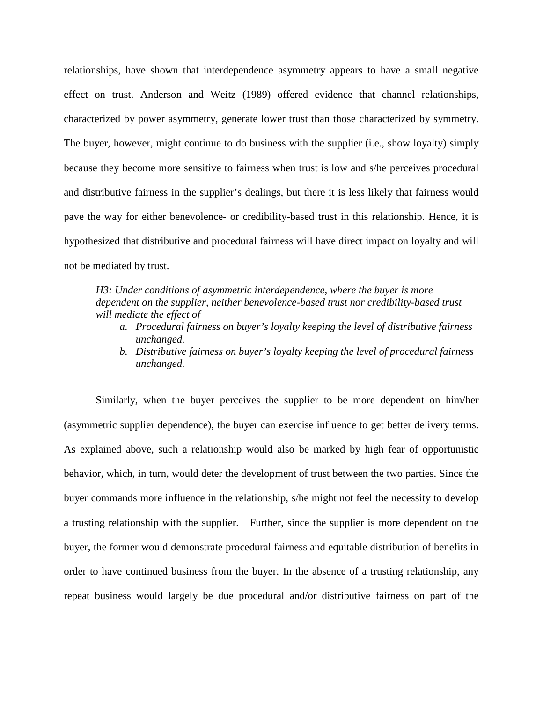relationships, have shown that interdependence asymmetry appears to have a small negative effect on trust. Anderson and Weitz (1989) offered evidence that channel relationships, characterized by power asymmetry, generate lower trust than those characterized by symmetry. The buyer, however, might continue to do business with the supplier (i.e., show loyalty) simply because they become more sensitive to fairness when trust is low and s/he perceives procedural and distributive fairness in the supplier's dealings, but there it is less likely that fairness would pave the way for either benevolence- or credibility-based trust in this relationship. Hence, it is hypothesized that distributive and procedural fairness will have direct impact on loyalty and will not be mediated by trust.

## *H3: Under conditions of asymmetric interdependence, where the buyer is more dependent on the supplier, neither benevolence-based trust nor credibility-based trust will mediate the effect of*

- *a. Procedural fairness on buyer's loyalty keeping the level of distributive fairness unchanged.*
- *b. Distributive fairness on buyer's loyalty keeping the level of procedural fairness unchanged.*

Similarly, when the buyer perceives the supplier to be more dependent on him/her (asymmetric supplier dependence), the buyer can exercise influence to get better delivery terms. As explained above, such a relationship would also be marked by high fear of opportunistic behavior, which, in turn, would deter the development of trust between the two parties. Since the buyer commands more influence in the relationship, s/he might not feel the necessity to develop a trusting relationship with the supplier. Further, since the supplier is more dependent on the buyer, the former would demonstrate procedural fairness and equitable distribution of benefits in order to have continued business from the buyer. In the absence of a trusting relationship, any repeat business would largely be due procedural and/or distributive fairness on part of the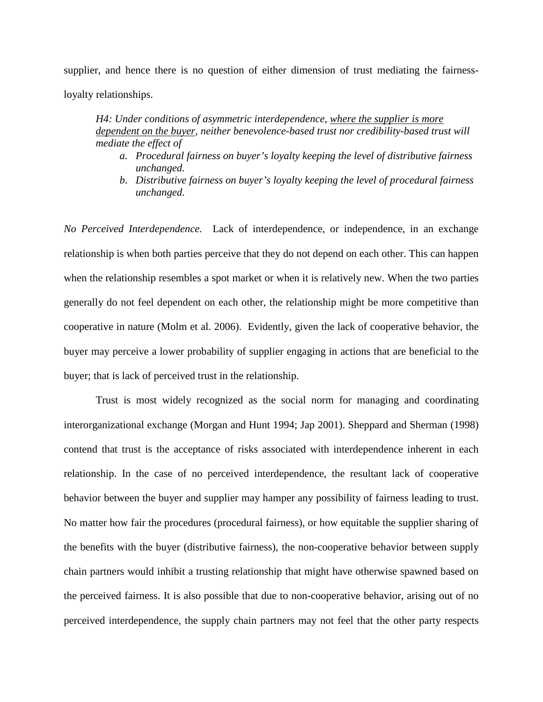supplier, and hence there is no question of either dimension of trust mediating the fairnessloyalty relationships.

*H4: Under conditions of asymmetric interdependence, where the supplier is more dependent on the buyer, neither benevolence-based trust nor credibility-based trust will mediate the effect of* 

- *a. Procedural fairness on buyer's loyalty keeping the level of distributive fairness unchanged.*
- *b. Distributive fairness on buyer's loyalty keeping the level of procedural fairness unchanged.*

*No Perceived Interdependence.* Lack of interdependence, or independence, in an exchange relationship is when both parties perceive that they do not depend on each other. This can happen when the relationship resembles a spot market or when it is relatively new. When the two parties generally do not feel dependent on each other, the relationship might be more competitive than cooperative in nature (Molm et al. 2006). Evidently, given the lack of cooperative behavior, the buyer may perceive a lower probability of supplier engaging in actions that are beneficial to the buyer; that is lack of perceived trust in the relationship.

Trust is most widely recognized as the social norm for managing and coordinating interorganizational exchange (Morgan and Hunt 1994; Jap 2001). Sheppard and Sherman (1998) contend that trust is the acceptance of risks associated with interdependence inherent in each relationship. In the case of no perceived interdependence, the resultant lack of cooperative behavior between the buyer and supplier may hamper any possibility of fairness leading to trust. No matter how fair the procedures (procedural fairness), or how equitable the supplier sharing of the benefits with the buyer (distributive fairness), the non-cooperative behavior between supply chain partners would inhibit a trusting relationship that might have otherwise spawned based on the perceived fairness. It is also possible that due to non-cooperative behavior, arising out of no perceived interdependence, the supply chain partners may not feel that the other party respects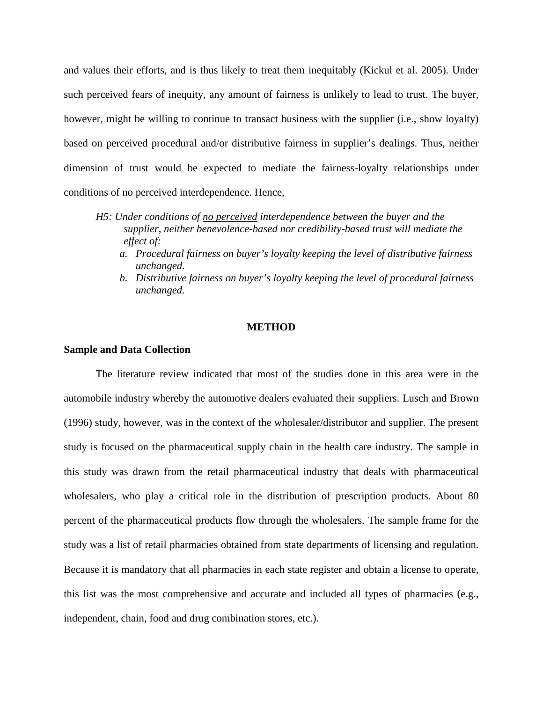and values their efforts, and is thus likely to treat them inequitably (Kickul et al. 2005). Under such perceived fears of inequity, any amount of fairness is unlikely to lead to trust. The buyer, however, might be willing to continue to transact business with the supplier (i.e., show loyalty) based on perceived procedural and/or distributive fairness in supplier's dealings. Thus, neither dimension of trust would be expected to mediate the fairness-loyalty relationships under conditions of no perceived interdependence. Hence,

- *H5: Under conditions of no perceived interdependence between the buyer and the supplier, neither benevolence-based nor credibility-based trust will mediate the effect of:*
	- *a. Procedural fairness on buyer's loyalty keeping the level of distributive fairness unchanged.*
	- *b. Distributive fairness on buyer's loyalty keeping the level of procedural fairness unchanged.*

## **METHOD**

## **Sample and Data Collection**

The literature review indicated that most of the studies done in this area were in the automobile industry whereby the automotive dealers evaluated their suppliers. Lusch and Brown (1996) study, however, was in the context of the wholesaler/distributor and supplier. The present study is focused on the pharmaceutical supply chain in the health care industry. The sample in this study was drawn from the retail pharmaceutical industry that deals with pharmaceutical wholesalers, who play a critical role in the distribution of prescription products. About 80 percent of the pharmaceutical products flow through the wholesalers. The sample frame for the study was a list of retail pharmacies obtained from state departments of licensing and regulation. Because it is mandatory that all pharmacies in each state register and obtain a license to operate, this list was the most comprehensive and accurate and included all types of pharmacies (e.g., independent, chain, food and drug combination stores, etc.).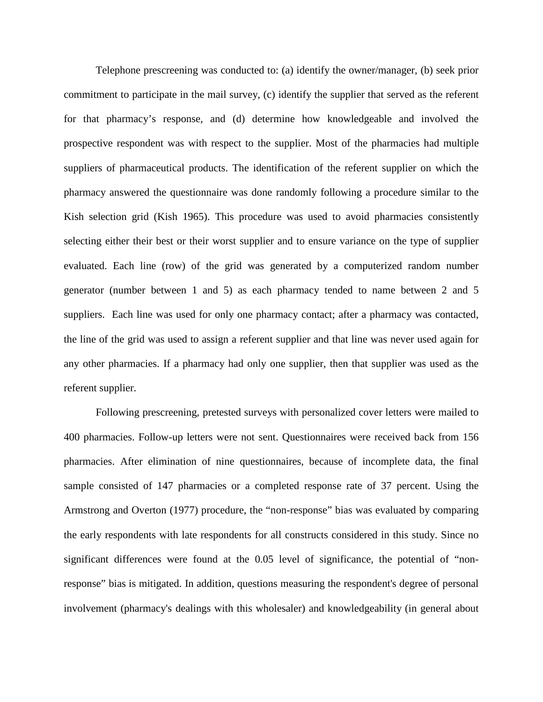Telephone prescreening was conducted to: (a) identify the owner/manager, (b) seek prior commitment to participate in the mail survey, (c) identify the supplier that served as the referent for that pharmacy's response, and (d) determine how knowledgeable and involved the prospective respondent was with respect to the supplier. Most of the pharmacies had multiple suppliers of pharmaceutical products. The identification of the referent supplier on which the pharmacy answered the questionnaire was done randomly following a procedure similar to the Kish selection grid (Kish 1965). This procedure was used to avoid pharmacies consistently selecting either their best or their worst supplier and to ensure variance on the type of supplier evaluated. Each line (row) of the grid was generated by a computerized random number generator (number between 1 and 5) as each pharmacy tended to name between 2 and 5 suppliers. Each line was used for only one pharmacy contact; after a pharmacy was contacted, the line of the grid was used to assign a referent supplier and that line was never used again for any other pharmacies. If a pharmacy had only one supplier, then that supplier was used as the referent supplier.

Following prescreening, pretested surveys with personalized cover letters were mailed to 400 pharmacies. Follow-up letters were not sent. Questionnaires were received back from 156 pharmacies. After elimination of nine questionnaires, because of incomplete data, the final sample consisted of 147 pharmacies or a completed response rate of 37 percent. Using the Armstrong and Overton (1977) procedure, the "non-response" bias was evaluated by comparing the early respondents with late respondents for all constructs considered in this study. Since no significant differences were found at the 0.05 level of significance, the potential of "nonresponse" bias is mitigated. In addition, questions measuring the respondent's degree of personal involvement (pharmacy's dealings with this wholesaler) and knowledgeability (in general about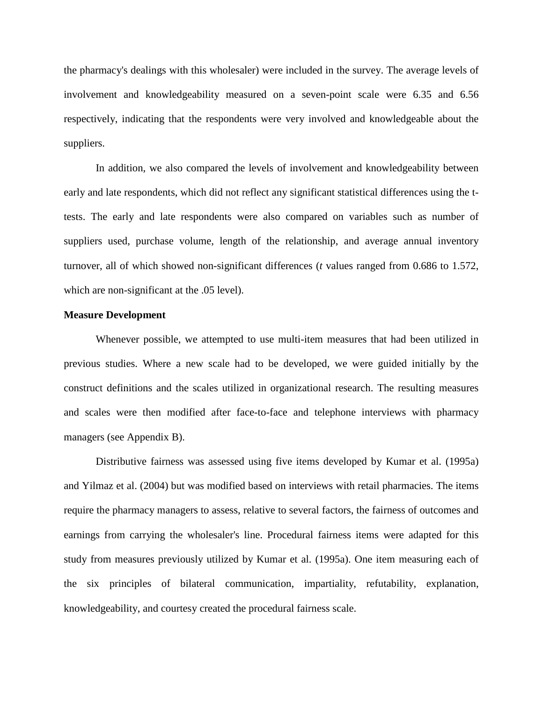the pharmacy's dealings with this wholesaler) were included in the survey. The average levels of involvement and knowledgeability measured on a seven-point scale were 6.35 and 6.56 respectively, indicating that the respondents were very involved and knowledgeable about the suppliers.

In addition, we also compared the levels of involvement and knowledgeability between early and late respondents, which did not reflect any significant statistical differences using the ttests. The early and late respondents were also compared on variables such as number of suppliers used, purchase volume, length of the relationship, and average annual inventory turnover, all of which showed non-significant differences (*t* values ranged from 0.686 to 1.572, which are non-significant at the .05 level).

## **Measure Development**

Whenever possible, we attempted to use multi-item measures that had been utilized in previous studies. Where a new scale had to be developed, we were guided initially by the construct definitions and the scales utilized in organizational research. The resulting measures and scales were then modified after face-to-face and telephone interviews with pharmacy managers (see Appendix B).

Distributive fairness was assessed using five items developed by Kumar et al. (1995a) and Yilmaz et al. (2004) but was modified based on interviews with retail pharmacies. The items require the pharmacy managers to assess, relative to several factors, the fairness of outcomes and earnings from carrying the wholesaler's line. Procedural fairness items were adapted for this study from measures previously utilized by Kumar et al. (1995a). One item measuring each of the six principles of bilateral communication, impartiality, refutability, explanation, knowledgeability, and courtesy created the procedural fairness scale.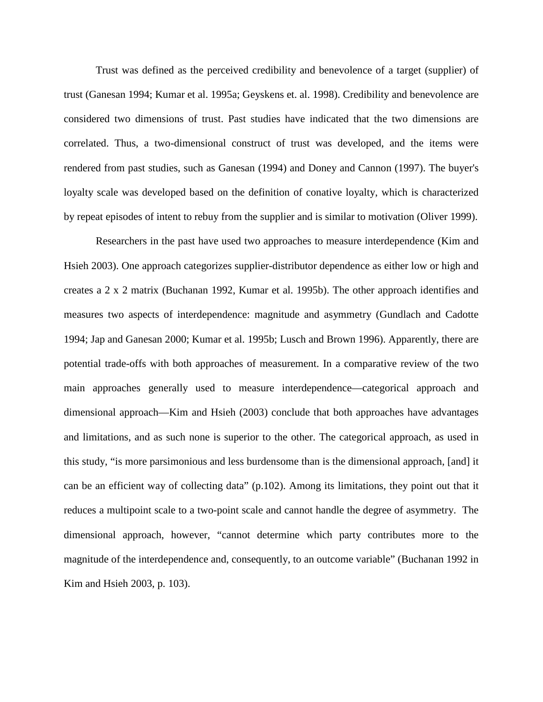Trust was defined as the perceived credibility and benevolence of a target (supplier) of trust (Ganesan 1994; Kumar et al. 1995a; Geyskens et. al. 1998). Credibility and benevolence are considered two dimensions of trust. Past studies have indicated that the two dimensions are correlated. Thus, a two-dimensional construct of trust was developed, and the items were rendered from past studies, such as Ganesan (1994) and Doney and Cannon (1997). The buyer's loyalty scale was developed based on the definition of conative loyalty, which is characterized by repeat episodes of intent to rebuy from the supplier and is similar to motivation (Oliver 1999).

Researchers in the past have used two approaches to measure interdependence (Kim and Hsieh 2003). One approach categorizes supplier-distributor dependence as either low or high and creates a 2 x 2 matrix (Buchanan 1992, Kumar et al. 1995b). The other approach identifies and measures two aspects of interdependence: magnitude and asymmetry (Gundlach and Cadotte 1994; Jap and Ganesan 2000; Kumar et al. 1995b; Lusch and Brown 1996). Apparently, there are potential trade-offs with both approaches of measurement. In a comparative review of the two main approaches generally used to measure interdependence—categorical approach and dimensional approach—Kim and Hsieh (2003) conclude that both approaches have advantages and limitations, and as such none is superior to the other. The categorical approach, as used in this study, "is more parsimonious and less burdensome than is the dimensional approach, [and] it can be an efficient way of collecting data" (p.102). Among its limitations, they point out that it reduces a multipoint scale to a two-point scale and cannot handle the degree of asymmetry. The dimensional approach, however, "cannot determine which party contributes more to the magnitude of the interdependence and, consequently, to an outcome variable" (Buchanan 1992 in Kim and Hsieh 2003, p. 103).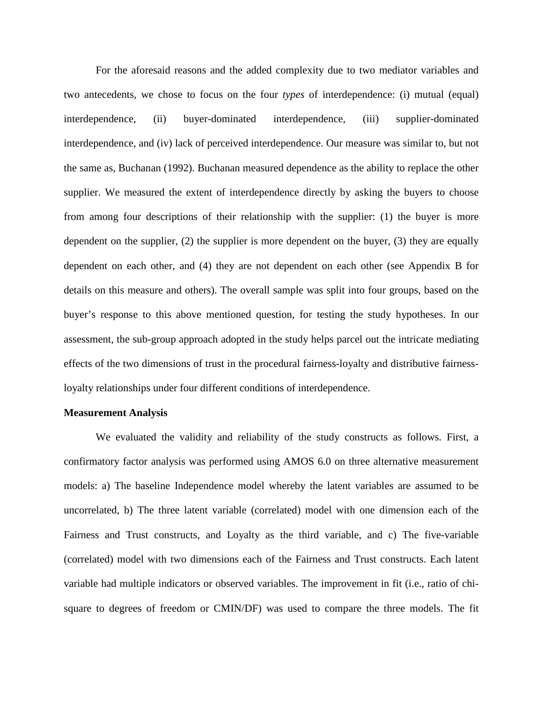For the aforesaid reasons and the added complexity due to two mediator variables and two antecedents, we chose to focus on the four *types* of interdependence: (i) mutual (equal) interdependence, (ii) buyer-dominated interdependence, (iii) supplier-dominated interdependence, and (iv) lack of perceived interdependence. Our measure was similar to, but not the same as, Buchanan (1992). Buchanan measured dependence as the ability to replace the other supplier. We measured the extent of interdependence directly by asking the buyers to choose from among four descriptions of their relationship with the supplier: (1) the buyer is more dependent on the supplier, (2) the supplier is more dependent on the buyer, (3) they are equally dependent on each other, and (4) they are not dependent on each other (see Appendix B for details on this measure and others). The overall sample was split into four groups, based on the buyer's response to this above mentioned question, for testing the study hypotheses. In our assessment, the sub-group approach adopted in the study helps parcel out the intricate mediating effects of the two dimensions of trust in the procedural fairness-loyalty and distributive fairnessloyalty relationships under four different conditions of interdependence.

#### **Measurement Analysis**

We evaluated the validity and reliability of the study constructs as follows. First, a confirmatory factor analysis was performed using AMOS 6.0 on three alternative measurement models: a) The baseline Independence model whereby the latent variables are assumed to be uncorrelated, b) The three latent variable (correlated) model with one dimension each of the Fairness and Trust constructs, and Loyalty as the third variable, and c) The five-variable (correlated) model with two dimensions each of the Fairness and Trust constructs. Each latent variable had multiple indicators or observed variables. The improvement in fit (i.e., ratio of chisquare to degrees of freedom or CMIN/DF) was used to compare the three models. The fit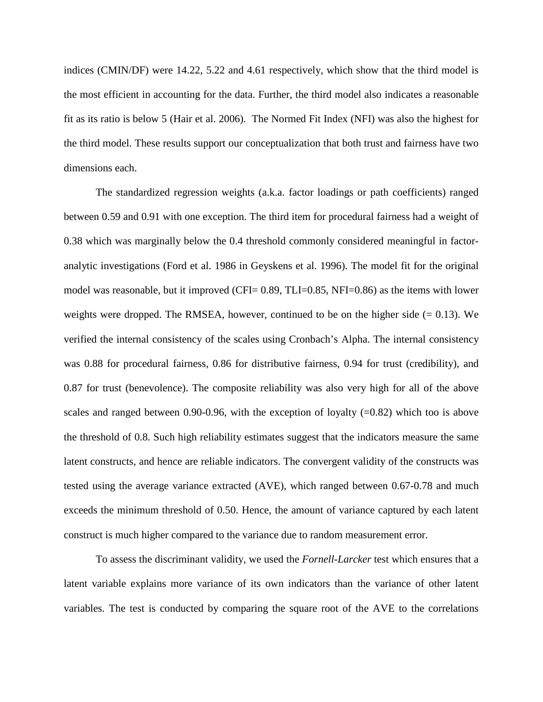indices (CMIN/DF) were 14.22, 5.22 and 4.61 respectively, which show that the third model is the most efficient in accounting for the data. Further, the third model also indicates a reasonable fit as its ratio is below 5 (Hair et al. 2006). The Normed Fit Index (NFI) was also the highest for the third model. These results support our conceptualization that both trust and fairness have two dimensions each.

The standardized regression weights (a.k.a. factor loadings or path coefficients) ranged between 0.59 and 0.91 with one exception. The third item for procedural fairness had a weight of 0.38 which was marginally below the 0.4 threshold commonly considered meaningful in factoranalytic investigations (Ford et al. 1986 in Geyskens et al. 1996). The model fit for the original model was reasonable, but it improved (CFI= 0.89, TLI=0.85, NFI=0.86) as the items with lower weights were dropped. The RMSEA, however, continued to be on the higher side  $(= 0.13)$ . We verified the internal consistency of the scales using Cronbach's Alpha. The internal consistency was 0.88 for procedural fairness, 0.86 for distributive fairness, 0.94 for trust (credibility), and 0.87 for trust (benevolence). The composite reliability was also very high for all of the above scales and ranged between 0.90-0.96, with the exception of loyalty  $(=0.82)$  which too is above the threshold of 0.8. Such high reliability estimates suggest that the indicators measure the same latent constructs, and hence are reliable indicators. The convergent validity of the constructs was tested using the average variance extracted (AVE), which ranged between 0.67-0.78 and much exceeds the minimum threshold of 0.50. Hence, the amount of variance captured by each latent construct is much higher compared to the variance due to random measurement error.

To assess the discriminant validity, we used the *Fornell-Larcker* test which ensures that a latent variable explains more variance of its own indicators than the variance of other latent variables. The test is conducted by comparing the square root of the AVE to the correlations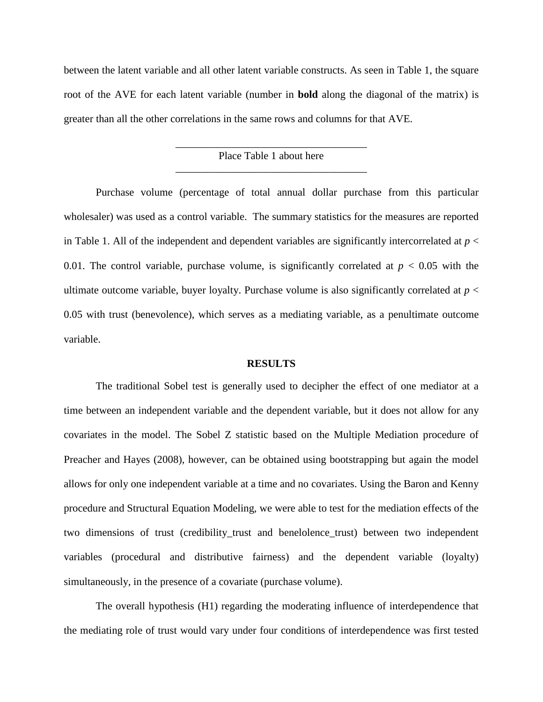between the latent variable and all other latent variable constructs. As seen in Table 1, the square root of the AVE for each latent variable (number in **bold** along the diagonal of the matrix) is greater than all the other correlations in the same rows and columns for that AVE.

## \_\_\_\_\_\_\_\_\_\_\_\_\_\_\_\_\_\_\_\_\_\_\_\_\_\_\_\_\_\_\_\_\_\_\_\_ Place Table 1 about here \_\_\_\_\_\_\_\_\_\_\_\_\_\_\_\_\_\_\_\_\_\_\_\_\_\_\_\_\_\_\_\_\_\_\_\_

Purchase volume (percentage of total annual dollar purchase from this particular wholesaler) was used as a control variable. The summary statistics for the measures are reported in Table 1. All of the independent and dependent variables are significantly intercorrelated at  $p <$ 0.01. The control variable, purchase volume, is significantly correlated at  $p < 0.05$  with the ultimate outcome variable, buyer loyalty. Purchase volume is also significantly correlated at  $p <$ 0.05 with trust (benevolence), which serves as a mediating variable, as a penultimate outcome variable.

### **RESULTS**

The traditional Sobel test is generally used to decipher the effect of one mediator at a time between an independent variable and the dependent variable, but it does not allow for any covariates in the model. The Sobel Z statistic based on the Multiple Mediation procedure of Preacher and Hayes (2008), however, can be obtained using bootstrapping but again the model allows for only one independent variable at a time and no covariates. Using the Baron and Kenny procedure and Structural Equation Modeling, we were able to test for the mediation effects of the two dimensions of trust (credibility\_trust and benelolence\_trust) between two independent variables (procedural and distributive fairness) and the dependent variable (loyalty) simultaneously, in the presence of a covariate (purchase volume).

The overall hypothesis (H1) regarding the moderating influence of interdependence that the mediating role of trust would vary under four conditions of interdependence was first tested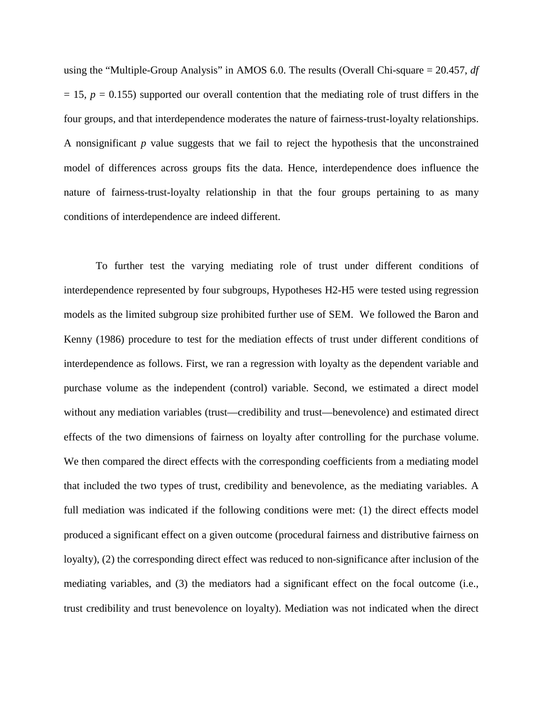using the "Multiple-Group Analysis" in AMOS 6.0. The results (Overall Chi-square = 20.457, *df*  $= 15$ ,  $p = 0.155$ ) supported our overall contention that the mediating role of trust differs in the four groups, and that interdependence moderates the nature of fairness-trust-loyalty relationships. A nonsignificant *p* value suggests that we fail to reject the hypothesis that the unconstrained model of differences across groups fits the data. Hence, interdependence does influence the nature of fairness-trust-loyalty relationship in that the four groups pertaining to as many conditions of interdependence are indeed different.

To further test the varying mediating role of trust under different conditions of interdependence represented by four subgroups, Hypotheses H2-H5 were tested using regression models as the limited subgroup size prohibited further use of SEM. We followed the Baron and Kenny (1986) procedure to test for the mediation effects of trust under different conditions of interdependence as follows. First, we ran a regression with loyalty as the dependent variable and purchase volume as the independent (control) variable. Second, we estimated a direct model without any mediation variables (trust—credibility and trust—benevolence) and estimated direct effects of the two dimensions of fairness on loyalty after controlling for the purchase volume. We then compared the direct effects with the corresponding coefficients from a mediating model that included the two types of trust, credibility and benevolence, as the mediating variables. A full mediation was indicated if the following conditions were met: (1) the direct effects model produced a significant effect on a given outcome (procedural fairness and distributive fairness on loyalty), (2) the corresponding direct effect was reduced to non-significance after inclusion of the mediating variables, and (3) the mediators had a significant effect on the focal outcome (i.e., trust credibility and trust benevolence on loyalty). Mediation was not indicated when the direct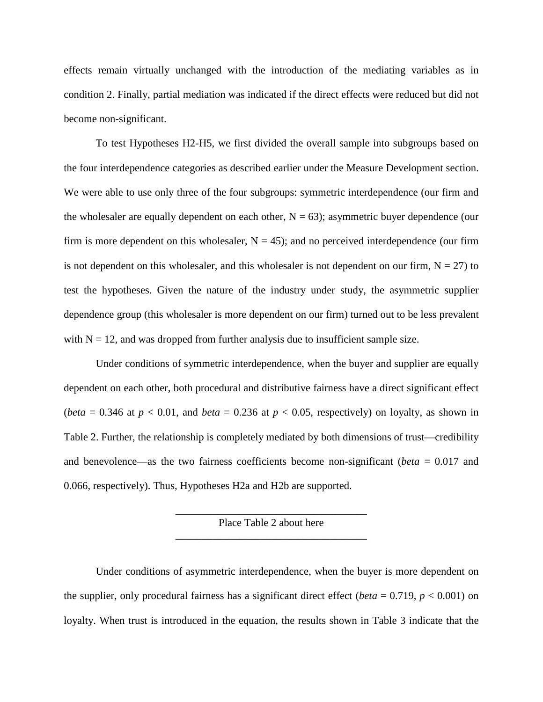effects remain virtually unchanged with the introduction of the mediating variables as in condition 2. Finally, partial mediation was indicated if the direct effects were reduced but did not become non-significant.

To test Hypotheses H2-H5, we first divided the overall sample into subgroups based on the four interdependence categories as described earlier under the Measure Development section. We were able to use only three of the four subgroups: symmetric interdependence (our firm and the wholesaler are equally dependent on each other,  $N = 63$ ); asymmetric buyer dependence (our firm is more dependent on this wholesaler,  $N = 45$ ); and no perceived interdependence (our firm is not dependent on this wholesaler, and this wholesaler is not dependent on our firm,  $N = 27$ ) to test the hypotheses. Given the nature of the industry under study, the asymmetric supplier dependence group (this wholesaler is more dependent on our firm) turned out to be less prevalent with  $N = 12$ , and was dropped from further analysis due to insufficient sample size.

Under conditions of symmetric interdependence, when the buyer and supplier are equally dependent on each other, both procedural and distributive fairness have a direct significant effect (*beta* = 0.346 at  $p < 0.01$ , and *beta* = 0.236 at  $p < 0.05$ , respectively) on loyalty, as shown in Table 2. Further, the relationship is completely mediated by both dimensions of trust—credibility and benevolence—as the two fairness coefficients become non-significant (*beta* = 0.017 and 0.066, respectively). Thus, Hypotheses H2a and H2b are supported.

> \_\_\_\_\_\_\_\_\_\_\_\_\_\_\_\_\_\_\_\_\_\_\_\_\_\_\_\_\_\_\_\_\_\_\_\_ Place Table 2 about here \_\_\_\_\_\_\_\_\_\_\_\_\_\_\_\_\_\_\_\_\_\_\_\_\_\_\_\_\_\_\_\_\_\_\_\_

Under conditions of asymmetric interdependence, when the buyer is more dependent on the supplier, only procedural fairness has a significant direct effect (*beta* =  $0.719$ , *p* <  $0.001$ ) on loyalty. When trust is introduced in the equation, the results shown in Table 3 indicate that the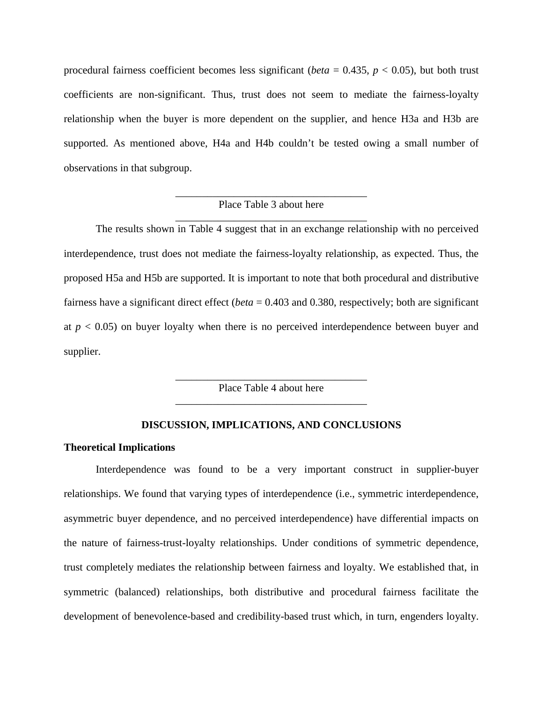procedural fairness coefficient becomes less significant (*beta* = 0.435, *p* < 0.05), but both trust coefficients are non-significant. Thus, trust does not seem to mediate the fairness-loyalty relationship when the buyer is more dependent on the supplier, and hence H3a and H3b are supported. As mentioned above, H4a and H4b couldn't be tested owing a small number of observations in that subgroup.

## \_\_\_\_\_\_\_\_\_\_\_\_\_\_\_\_\_\_\_\_\_\_\_\_\_\_\_\_\_\_\_\_\_\_\_\_ Place Table 3 about here \_\_\_\_\_\_\_\_\_\_\_\_\_\_\_\_\_\_\_\_\_\_\_\_\_\_\_\_\_\_\_\_\_\_\_\_

The results shown in Table 4 suggest that in an exchange relationship with no perceived interdependence, trust does not mediate the fairness-loyalty relationship, as expected. Thus, the proposed H5a and H5b are supported. It is important to note that both procedural and distributive fairness have a significant direct effect (*beta* = 0.403 and 0.380, respectively; both are significant at  $p < 0.05$ ) on buyer loyalty when there is no perceived interdependence between buyer and supplier.

> \_\_\_\_\_\_\_\_\_\_\_\_\_\_\_\_\_\_\_\_\_\_\_\_\_\_\_\_\_\_\_\_\_\_\_\_ Place Table 4 about here \_\_\_\_\_\_\_\_\_\_\_\_\_\_\_\_\_\_\_\_\_\_\_\_\_\_\_\_\_\_\_\_\_\_\_\_

## **DISCUSSION, IMPLICATIONS, AND CONCLUSIONS**

#### **Theoretical Implications**

Interdependence was found to be a very important construct in supplier-buyer relationships. We found that varying types of interdependence (i.e., symmetric interdependence, asymmetric buyer dependence, and no perceived interdependence) have differential impacts on the nature of fairness-trust-loyalty relationships. Under conditions of symmetric dependence, trust completely mediates the relationship between fairness and loyalty. We established that, in symmetric (balanced) relationships, both distributive and procedural fairness facilitate the development of benevolence-based and credibility-based trust which, in turn, engenders loyalty.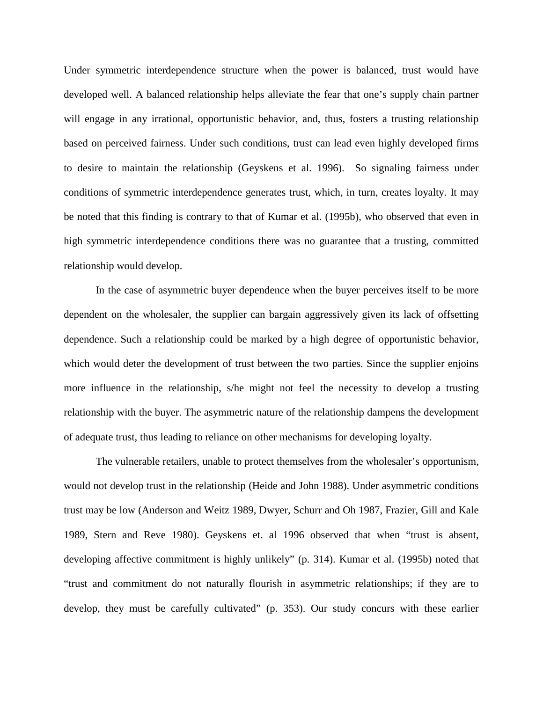Under symmetric interdependence structure when the power is balanced, trust would have developed well. A balanced relationship helps alleviate the fear that one's supply chain partner will engage in any irrational, opportunistic behavior, and, thus, fosters a trusting relationship based on perceived fairness. Under such conditions, trust can lead even highly developed firms to desire to maintain the relationship (Geyskens et al. 1996). So signaling fairness under conditions of symmetric interdependence generates trust, which, in turn, creates loyalty. It may be noted that this finding is contrary to that of Kumar et al. (1995b), who observed that even in high symmetric interdependence conditions there was no guarantee that a trusting, committed relationship would develop.

In the case of asymmetric buyer dependence when the buyer perceives itself to be more dependent on the wholesaler, the supplier can bargain aggressively given its lack of offsetting dependence. Such a relationship could be marked by a high degree of opportunistic behavior, which would deter the development of trust between the two parties. Since the supplier enjoins more influence in the relationship, s/he might not feel the necessity to develop a trusting relationship with the buyer. The asymmetric nature of the relationship dampens the development of adequate trust, thus leading to reliance on other mechanisms for developing loyalty.

The vulnerable retailers, unable to protect themselves from the wholesaler's opportunism, would not develop trust in the relationship (Heide and John 1988). Under asymmetric conditions trust may be low (Anderson and Weitz 1989, Dwyer, Schurr and Oh 1987, Frazier, Gill and Kale 1989, Stern and Reve 1980). Geyskens et. al 1996 observed that when "trust is absent, developing affective commitment is highly unlikely" (p. 314). Kumar et al. (1995b) noted that "trust and commitment do not naturally flourish in asymmetric relationships; if they are to develop, they must be carefully cultivated" (p. 353). Our study concurs with these earlier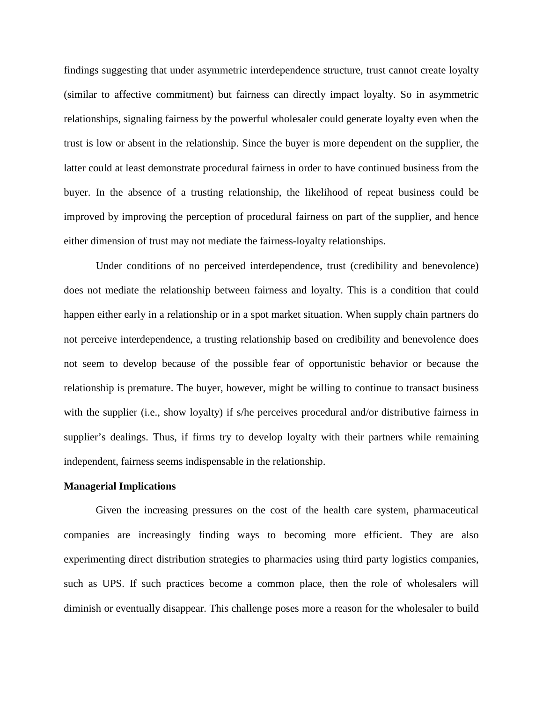findings suggesting that under asymmetric interdependence structure, trust cannot create loyalty (similar to affective commitment) but fairness can directly impact loyalty. So in asymmetric relationships, signaling fairness by the powerful wholesaler could generate loyalty even when the trust is low or absent in the relationship. Since the buyer is more dependent on the supplier, the latter could at least demonstrate procedural fairness in order to have continued business from the buyer. In the absence of a trusting relationship, the likelihood of repeat business could be improved by improving the perception of procedural fairness on part of the supplier, and hence either dimension of trust may not mediate the fairness-loyalty relationships.

Under conditions of no perceived interdependence, trust (credibility and benevolence) does not mediate the relationship between fairness and loyalty. This is a condition that could happen either early in a relationship or in a spot market situation. When supply chain partners do not perceive interdependence, a trusting relationship based on credibility and benevolence does not seem to develop because of the possible fear of opportunistic behavior or because the relationship is premature. The buyer, however, might be willing to continue to transact business with the supplier (i.e., show loyalty) if s/he perceives procedural and/or distributive fairness in supplier's dealings. Thus, if firms try to develop loyalty with their partners while remaining independent, fairness seems indispensable in the relationship.

### **Managerial Implications**

Given the increasing pressures on the cost of the health care system, pharmaceutical companies are increasingly finding ways to becoming more efficient. They are also experimenting direct distribution strategies to pharmacies using third party logistics companies, such as UPS. If such practices become a common place, then the role of wholesalers will diminish or eventually disappear. This challenge poses more a reason for the wholesaler to build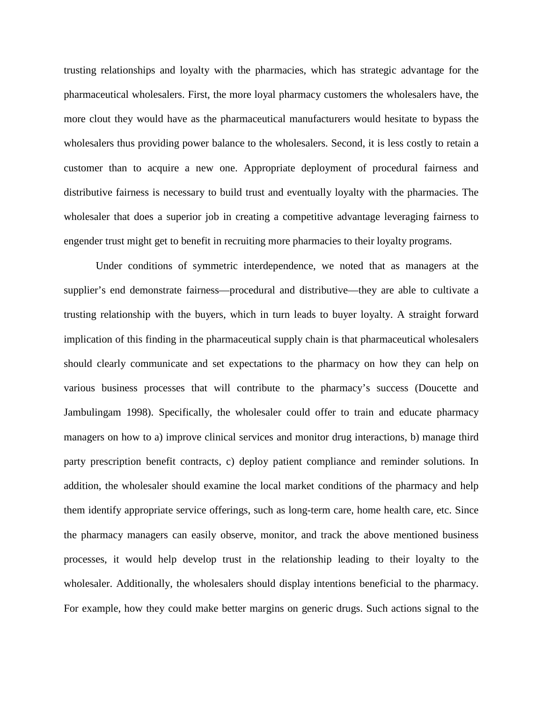trusting relationships and loyalty with the pharmacies, which has strategic advantage for the pharmaceutical wholesalers. First, the more loyal pharmacy customers the wholesalers have, the more clout they would have as the pharmaceutical manufacturers would hesitate to bypass the wholesalers thus providing power balance to the wholesalers. Second, it is less costly to retain a customer than to acquire a new one. Appropriate deployment of procedural fairness and distributive fairness is necessary to build trust and eventually loyalty with the pharmacies. The wholesaler that does a superior job in creating a competitive advantage leveraging fairness to engender trust might get to benefit in recruiting more pharmacies to their loyalty programs.

Under conditions of symmetric interdependence, we noted that as managers at the supplier's end demonstrate fairness—procedural and distributive—they are able to cultivate a trusting relationship with the buyers, which in turn leads to buyer loyalty. A straight forward implication of this finding in the pharmaceutical supply chain is that pharmaceutical wholesalers should clearly communicate and set expectations to the pharmacy on how they can help on various business processes that will contribute to the pharmacy's success (Doucette and Jambulingam 1998). Specifically, the wholesaler could offer to train and educate pharmacy managers on how to a) improve clinical services and monitor drug interactions, b) manage third party prescription benefit contracts, c) deploy patient compliance and reminder solutions. In addition, the wholesaler should examine the local market conditions of the pharmacy and help them identify appropriate service offerings, such as long-term care, home health care, etc. Since the pharmacy managers can easily observe, monitor, and track the above mentioned business processes, it would help develop trust in the relationship leading to their loyalty to the wholesaler. Additionally, the wholesalers should display intentions beneficial to the pharmacy. For example, how they could make better margins on generic drugs. Such actions signal to the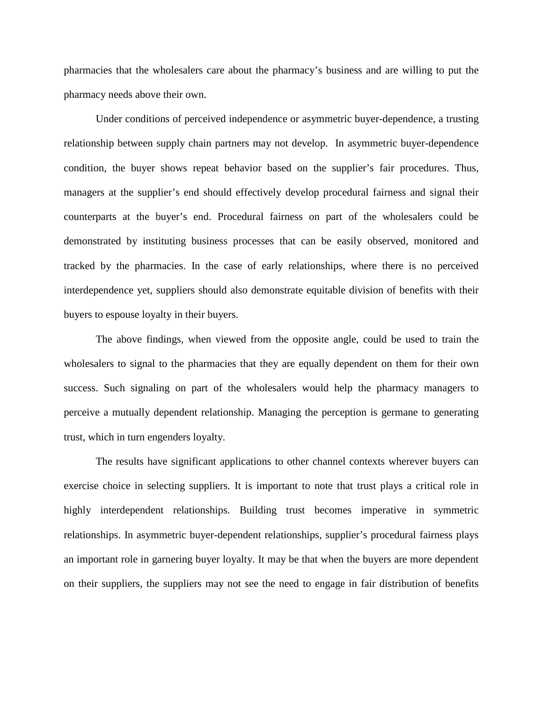pharmacies that the wholesalers care about the pharmacy's business and are willing to put the pharmacy needs above their own.

Under conditions of perceived independence or asymmetric buyer-dependence, a trusting relationship between supply chain partners may not develop. In asymmetric buyer-dependence condition, the buyer shows repeat behavior based on the supplier's fair procedures. Thus, managers at the supplier's end should effectively develop procedural fairness and signal their counterparts at the buyer's end. Procedural fairness on part of the wholesalers could be demonstrated by instituting business processes that can be easily observed, monitored and tracked by the pharmacies. In the case of early relationships, where there is no perceived interdependence yet, suppliers should also demonstrate equitable division of benefits with their buyers to espouse loyalty in their buyers.

The above findings, when viewed from the opposite angle, could be used to train the wholesalers to signal to the pharmacies that they are equally dependent on them for their own success. Such signaling on part of the wholesalers would help the pharmacy managers to perceive a mutually dependent relationship. Managing the perception is germane to generating trust, which in turn engenders loyalty.

The results have significant applications to other channel contexts wherever buyers can exercise choice in selecting suppliers. It is important to note that trust plays a critical role in highly interdependent relationships. Building trust becomes imperative in symmetric relationships. In asymmetric buyer-dependent relationships, supplier's procedural fairness plays an important role in garnering buyer loyalty. It may be that when the buyers are more dependent on their suppliers, the suppliers may not see the need to engage in fair distribution of benefits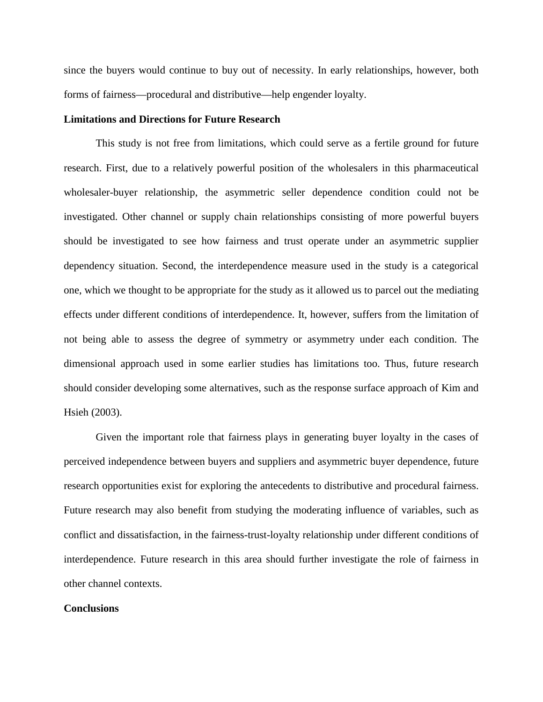since the buyers would continue to buy out of necessity. In early relationships, however, both forms of fairness—procedural and distributive—help engender loyalty.

## **Limitations and Directions for Future Research**

This study is not free from limitations, which could serve as a fertile ground for future research. First, due to a relatively powerful position of the wholesalers in this pharmaceutical wholesaler-buyer relationship, the asymmetric seller dependence condition could not be investigated. Other channel or supply chain relationships consisting of more powerful buyers should be investigated to see how fairness and trust operate under an asymmetric supplier dependency situation. Second, the interdependence measure used in the study is a categorical one, which we thought to be appropriate for the study as it allowed us to parcel out the mediating effects under different conditions of interdependence. It, however, suffers from the limitation of not being able to assess the degree of symmetry or asymmetry under each condition. The dimensional approach used in some earlier studies has limitations too. Thus, future research should consider developing some alternatives, such as the response surface approach of Kim and Hsieh (2003).

Given the important role that fairness plays in generating buyer loyalty in the cases of perceived independence between buyers and suppliers and asymmetric buyer dependence, future research opportunities exist for exploring the antecedents to distributive and procedural fairness. Future research may also benefit from studying the moderating influence of variables, such as conflict and dissatisfaction, in the fairness-trust-loyalty relationship under different conditions of interdependence. Future research in this area should further investigate the role of fairness in other channel contexts.

#### **Conclusions**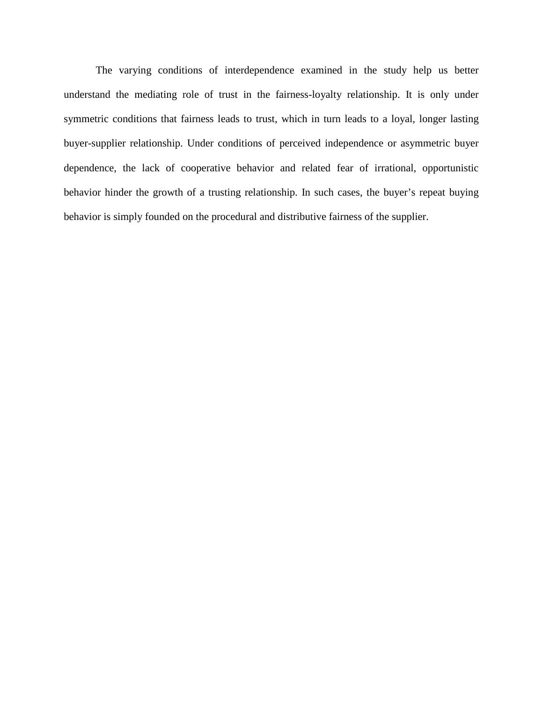The varying conditions of interdependence examined in the study help us better understand the mediating role of trust in the fairness-loyalty relationship. It is only under symmetric conditions that fairness leads to trust, which in turn leads to a loyal, longer lasting buyer-supplier relationship. Under conditions of perceived independence or asymmetric buyer dependence, the lack of cooperative behavior and related fear of irrational, opportunistic behavior hinder the growth of a trusting relationship. In such cases, the buyer's repeat buying behavior is simply founded on the procedural and distributive fairness of the supplier.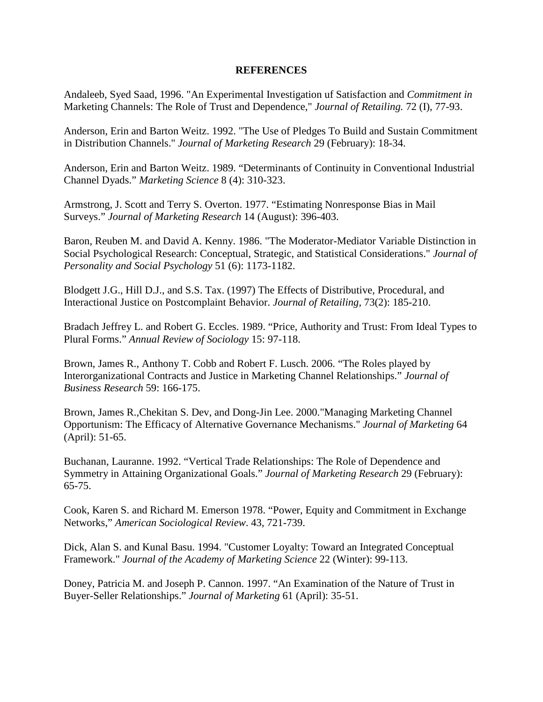## **REFERENCES**

Andaleeb, Syed Saad, 1996. "An Experimental Investigation uf Satisfaction and *Commitment in*  Marketing Channels: The Role of Trust and Dependence," *Journal of Retailing.* 72 (I), 77-93.

Anderson, Erin and Barton Weitz. 1992. "The Use of Pledges To Build and Sustain Commitment in Distribution Channels." *Journal of Marketing Research* 29 (February): 18-34.

Anderson, Erin and Barton Weitz. 1989. "Determinants of Continuity in Conventional Industrial Channel Dyads." *Marketing Science* 8 (4): 310-323.

Armstrong, J. Scott and Terry S. Overton. 1977. "Estimating Nonresponse Bias in Mail Surveys." *Journal of Marketing Research* 14 (August): 396-403.

Baron, Reuben M. and David A. Kenny. 1986. "The Moderator-Mediator Variable Distinction in Social Psychological Research: Conceptual, Strategic, and Statistical Considerations." *Journal of Personality and Social Psychology* 51 (6): 1173-1182.

Blodgett J.G., Hill D.J., and S.S. Tax. (1997) The Effects of Distributive, Procedural, and Interactional Justice on Postcomplaint Behavior. *Journal of Retailing,* 73(2): 185-210.

Bradach Jeffrey L. and Robert G. Eccles. 1989. "Price, Authority and Trust: From Ideal Types to Plural Forms." *Annual Review of Sociology* 15: 97-118.

Brown, James R., Anthony T. Cobb and Robert F. Lusch. 2006. "The Roles played by Interorganizational Contracts and Justice in Marketing Channel Relationships." *Journal of Business Research* 59: 166-175.

Brown, James R.,Chekitan S. Dev, and Dong-Jin Lee. 2000."Managing Marketing Channel Opportunism: The Efficacy of Alternative Governance Mechanisms." *Journal of Marketing* 64 (April): 51-65.

Buchanan, Lauranne. 1992. "Vertical Trade Relationships: The Role of Dependence and Symmetry in Attaining Organizational Goals." *Journal of Marketing Research* 29 (February): 65-75.

Cook, Karen S. and Richard M. Emerson 1978. "Power, Equity and Commitment in Exchange Networks," *American Sociological Review*. 43, 721-739.

Dick, Alan S. and Kunal Basu. 1994. "Customer Loyalty: Toward an Integrated Conceptual Framework." *Journal of the Academy of Marketing Science* 22 (Winter): 99-113.

Doney, Patricia M. and Joseph P. Cannon. 1997. "An Examination of the Nature of Trust in Buyer-Seller Relationships." *Journal of Marketing* 61 (April): 35-51.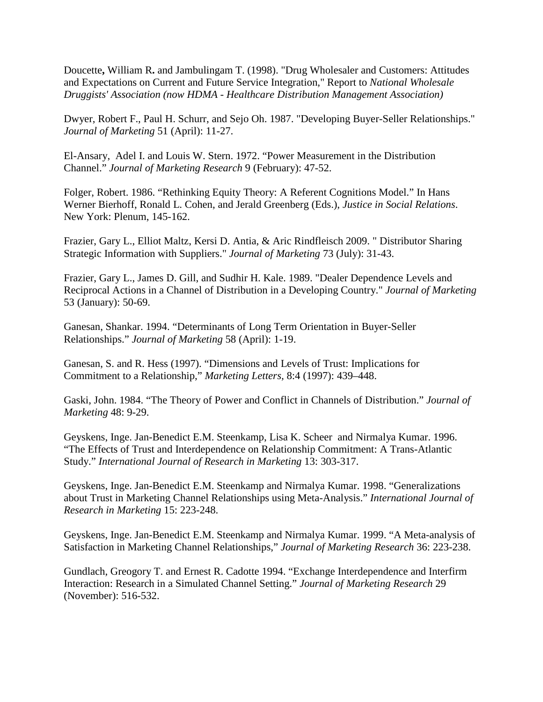Doucette**,** William R**.** and Jambulingam T. (1998). "Drug Wholesaler and Customers: Attitudes and Expectations on Current and Future Service Integration," Report to *National Wholesale Druggists' Association (now HDMA - Healthcare Distribution Management Association)* 

Dwyer, Robert F., Paul H. Schurr, and Sejo Oh. 1987. "Developing Buyer-Seller Relationships." *Journal of Marketing* 51 (April): 11-27.

El-Ansary, Adel I. and Louis W. Stern. 1972. "Power Measurement in the Distribution Channel." *Journal of Marketing Research* 9 (February): 47-52.

Folger, Robert. 1986. "Rethinking Equity Theory: A Referent Cognitions Model." In Hans Werner Bierhoff, Ronald L. Cohen, and Jerald Greenberg (Eds.), *Justice in Social Relations*. New York: Plenum, 145-162.

Frazier, Gary L., Elliot Maltz, Kersi D. Antia, & Aric Rindfleisch 2009. " Distributor Sharing Strategic Information with Suppliers." *Journal of Marketing* 73 (July): 31-43.

Frazier, Gary L., James D. Gill, and Sudhir H. Kale. 1989. "Dealer Dependence Levels and Reciprocal Actions in a Channel of Distribution in a Developing Country." *Journal of Marketing* 53 (January): 50-69.

Ganesan, Shankar. 1994. "Determinants of Long Term Orientation in Buyer-Seller Relationships." *Journal of Marketing* 58 (April): 1-19.

Ganesan, S. and R. Hess (1997). "Dimensions and Levels of Trust: Implications for Commitment to a Relationship," *Marketing Letters,* 8:4 (1997): 439–448.

Gaski, John. 1984. "The Theory of Power and Conflict in Channels of Distribution." *Journal of Marketing* 48: 9-29.

Geyskens, Inge. Jan-Benedict E.M. Steenkamp, Lisa K. Scheer and Nirmalya Kumar. 1996. "The Effects of Trust and Interdependence on Relationship Commitment: A Trans-Atlantic Study." *International Journal of Research in Marketing* 13: 303-317.

Geyskens, Inge. Jan-Benedict E.M. Steenkamp and Nirmalya Kumar. 1998. "Generalizations about Trust in Marketing Channel Relationships using Meta-Analysis." *International Journal of Research in Marketing* 15: 223-248.

Geyskens, Inge. Jan-Benedict E.M. Steenkamp and Nirmalya Kumar. 1999. "A Meta-analysis of Satisfaction in Marketing Channel Relationships," *Journal of Marketing Research* 36: 223-238.

Gundlach, Greogory T. and Ernest R. Cadotte 1994. "Exchange Interdependence and Interfirm Interaction: Research in a Simulated Channel Setting." *Journal of Marketing Research* 29 (November): 516-532.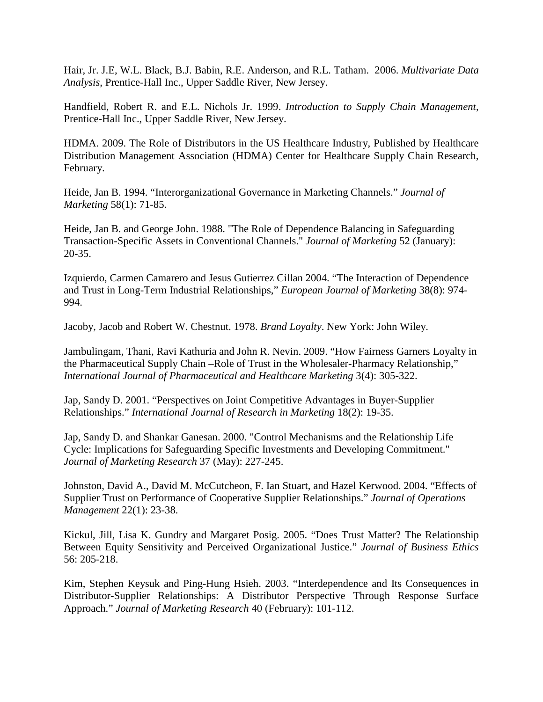Hair, Jr. J.E, W.L. Black, B.J. Babin, R.E. Anderson, and R.L. Tatham. 2006. *Multivariate Data Analysis*, Prentice-Hall Inc., Upper Saddle River, New Jersey.

Handfield, Robert R. and E.L. Nichols Jr. 1999. *Introduction to Supply Chain Management*, Prentice-Hall Inc., Upper Saddle River, New Jersey.

HDMA. 2009. The Role of Distributors in the US Healthcare Industry, Published by Healthcare Distribution Management Association (HDMA) Center for Healthcare Supply Chain Research, February.

Heide, Jan B. 1994. "Interorganizational Governance in Marketing Channels." *Journal of Marketing* 58(1): 71-85.

Heide, Jan B. and George John. 1988. "The Role of Dependence Balancing in Safeguarding Transaction-Specific Assets in Conventional Channels." *Journal of Marketing* 52 (January): 20-35.

Izquierdo, Carmen Camarero and Jesus Gutierrez Cillan 2004. "The Interaction of Dependence and Trust in Long-Term Industrial Relationships," *European Journal of Marketing* 38(8): 974- 994.

Jacoby, Jacob and Robert W. Chestnut. 1978. *Brand Loyalty*. New York: John Wiley.

Jambulingam, Thani, Ravi Kathuria and John R. Nevin. 2009. "How Fairness Garners Loyalty in the Pharmaceutical Supply Chain –Role of Trust in the Wholesaler-Pharmacy Relationship," *International Journal of Pharmaceutical and Healthcare Marketing* 3(4): 305-322.

Jap, Sandy D. 2001. "Perspectives on Joint Competitive Advantages in Buyer-Supplier Relationships." *International Journal of Research in Marketing* 18(2): 19-35.

Jap, Sandy D. and Shankar Ganesan. 2000. "Control Mechanisms and the Relationship Life Cycle: Implications for Safeguarding Specific Investments and Developing Commitment." *Journal of Marketing Research* 37 (May): 227-245.

Johnston, David A., David M. McCutcheon, F. Ian Stuart, and Hazel Kerwood. 2004. "Effects of Supplier Trust on Performance of Cooperative Supplier Relationships." *Journal of Operations Management* 22(1): 23-38.

Kickul, Jill, Lisa K. Gundry and Margaret Posig. 2005. "Does Trust Matter? The Relationship Between Equity Sensitivity and Perceived Organizational Justice." *Journal of Business Ethics* 56: 205-218.

Kim, Stephen Keysuk and Ping-Hung Hsieh. 2003. "Interdependence and Its Consequences in Distributor-Supplier Relationships: A Distributor Perspective Through Response Surface Approach." *Journal of Marketing Research* 40 (February): 101-112.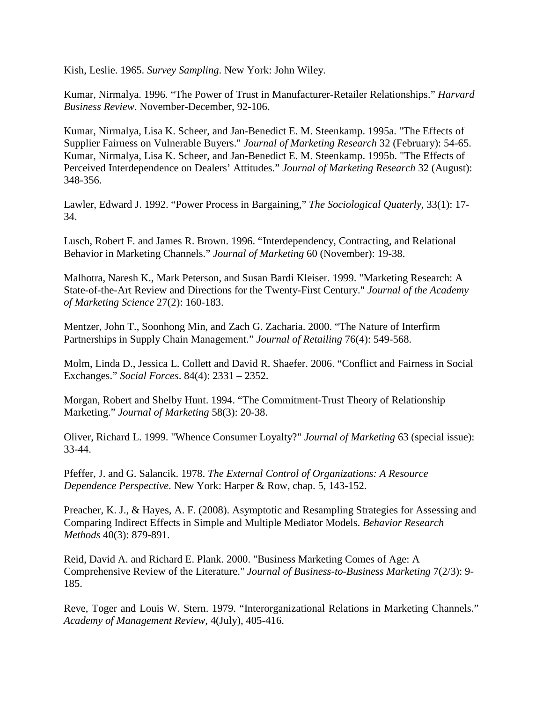Kish, Leslie. 1965. *Survey Sampling*. New York: John Wiley.

Kumar, Nirmalya. 1996. "The Power of Trust in Manufacturer-Retailer Relationships." *Harvard Business Review*. November-December, 92-106.

Kumar, Nirmalya, Lisa K. Scheer, and Jan-Benedict E. M. Steenkamp. 1995a. "The Effects of Supplier Fairness on Vulnerable Buyers." *Journal of Marketing Research* 32 (February): 54-65. Kumar, Nirmalya, Lisa K. Scheer, and Jan-Benedict E. M. Steenkamp. 1995b. "The Effects of Perceived Interdependence on Dealers' Attitudes." *Journal of Marketing Research* 32 (August): 348-356.

Lawler, Edward J. 1992. "Power Process in Bargaining," *The Sociological Quaterly,* 33(1): 17- 34.

Lusch, Robert F. and James R. Brown. 1996. "Interdependency, Contracting, and Relational Behavior in Marketing Channels." *Journal of Marketing* 60 (November): 19-38.

Malhotra, Naresh K., Mark Peterson, and Susan Bardi Kleiser. 1999. "Marketing Research: A State-of-the-Art Review and Directions for the Twenty-First Century." *Journal of the Academy of Marketing Science* 27(2): 160-183.

Mentzer, John T., Soonhong Min, and Zach G. Zacharia. 2000. "The Nature of Interfirm Partnerships in Supply Chain Management." *Journal of Retailing* 76(4): 549-568.

Molm, Linda D., Jessica L. Collett and David R. Shaefer. 2006. "Conflict and Fairness in Social Exchanges." *Social Forces*. 84(4): 2331 – 2352.

Morgan, Robert and Shelby Hunt. 1994. "The Commitment-Trust Theory of Relationship Marketing." *Journal of Marketing* 58(3): 20-38.

Oliver, Richard L. 1999. "Whence Consumer Loyalty?" *Journal of Marketing* 63 (special issue): 33-44.

Pfeffer, J. and G. Salancik. 1978. *The External Control of Organizations: A Resource Dependence Perspective*. New York: Harper & Row, chap. 5, 143-152.

Preacher, K. J., & Hayes, A. F. (2008). Asymptotic and Resampling Strategies for Assessing and Comparing Indirect Effects in Simple and Multiple Mediator Models. *Behavior Research Methods* 40(3): 879-891.

Reid, David A. and Richard E. Plank. 2000. "Business Marketing Comes of Age: A Comprehensive Review of the Literature." *Journal of Business-to-Business Marketing* 7(2/3): 9- 185.

Reve, Toger and Louis W. Stern. 1979. "Interorganizational Relations in Marketing Channels." *Academy of Management Review*, 4(July), 405-416.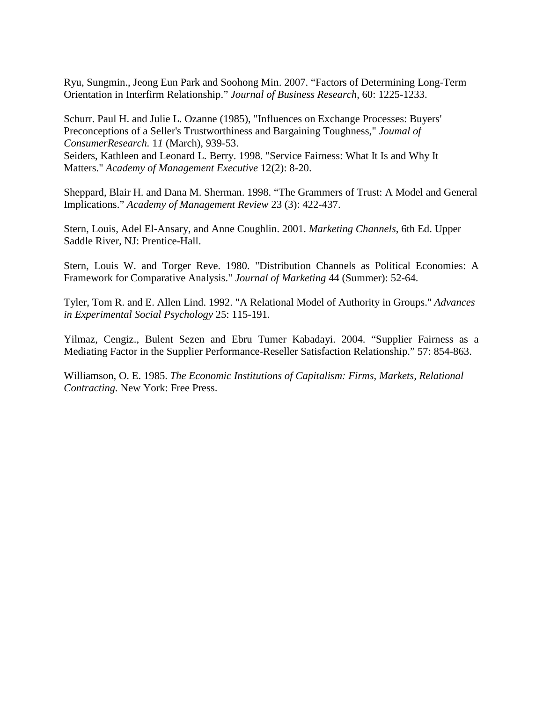Ryu, Sungmin., Jeong Eun Park and Soohong Min. 2007. "Factors of Determining Long-Term Orientation in Interfirm Relationship." *Journal of Business Research*, 60: 1225-1233.

Schurr. Paul H. and Julie L. Ozanne (1985), "Influences on Exchange Processes: Buyers' Preconceptions of a Seller's Trustworthiness and Bargaining Toughness," *Joumal of ConsumerResearch.* 1*1* (March), 939-53. Seiders, Kathleen and Leonard L. Berry. 1998. "Service Fairness: What It Is and Why It Matters." *Academy of Management Executive* 12(2): 8-20.

Sheppard, Blair H. and Dana M. Sherman. 1998. "The Grammers of Trust: A Model and General Implications." *Academy of Management Review* 23 (3): 422-437.

Stern, Louis, Adel El-Ansary, and Anne Coughlin. 2001. *Marketing Channels*, 6th Ed. Upper Saddle River, NJ: Prentice-Hall.

Stern, Louis W. and Torger Reve. 1980. "Distribution Channels as Political Economies: A Framework for Comparative Analysis." *Journal of Marketing* 44 (Summer): 52-64.

Tyler, Tom R. and E. Allen Lind. 1992. "A Relational Model of Authority in Groups." *Advances in Experimental Social Psychology* 25: 115-191.

Yilmaz, Cengiz., Bulent Sezen and Ebru Tumer Kabadayi. 2004. "Supplier Fairness as a Mediating Factor in the Supplier Performance-Reseller Satisfaction Relationship." 57: 854-863.

Williamson, O. E. 1985. *The Economic Institutions of Capitalism: Firms, Markets, Relational Contracting.* New York: Free Press.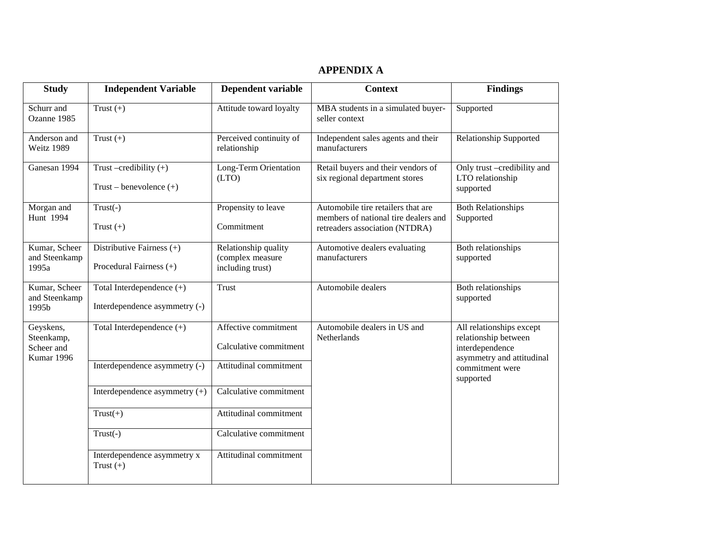## **APPENDIX A**

| <b>Study</b>                                        | <b>Independent Variable</b>                                  | Dependent variable                                           | <b>Context</b>                                                                                               | <b>Findings</b>                                                                                  |  |
|-----------------------------------------------------|--------------------------------------------------------------|--------------------------------------------------------------|--------------------------------------------------------------------------------------------------------------|--------------------------------------------------------------------------------------------------|--|
| Schurr and<br>Ozanne 1985                           | Trust $(+)$                                                  | Attitude toward loyalty                                      | MBA students in a simulated buyer-<br>seller context                                                         | Supported                                                                                        |  |
| Anderson and<br>Weitz 1989                          | Trust $(+)$                                                  | Perceived continuity of<br>relationship                      | Independent sales agents and their<br>manufacturers                                                          | <b>Relationship Supported</b>                                                                    |  |
| Ganesan 1994                                        | Trust $-credibility (+)$<br>Trust – benevolence $(+)$        | Long-Term Orientation<br>(LTO)                               | Retail buyers and their vendors of<br>six regional department stores                                         | Only trust -credibility and<br>LTO relationship<br>supported                                     |  |
| Morgan and<br>Hunt 1994                             | $Trust(-)$<br>Trust $(+)$                                    | Propensity to leave<br>Commitment                            | Automobile tire retailers that are<br>members of national tire dealers and<br>retreaders association (NTDRA) | <b>Both Relationships</b><br>Supported                                                           |  |
| Kumar, Scheer<br>and Steenkamp<br>1995a             | Distributive Fairness (+)<br>Procedural Fairness (+)         | Relationship quality<br>(complex measure<br>including trust) | Automotive dealers evaluating<br>manufacturers                                                               | Both relationships<br>supported                                                                  |  |
| Kumar, Scheer<br>and Steenkamp<br>1995b             | Total Interdependence $(+)$<br>Interdependence asymmetry (-) | Trust                                                        | Automobile dealers                                                                                           | Both relationships<br>supported                                                                  |  |
| Geyskens,<br>Steenkamp,<br>Scheer and<br>Kumar 1996 | Total Interdependence (+)                                    | Affective commitment<br>Calculative commitment               | Automobile dealers in US and<br>Netherlands                                                                  | All relationships except<br>relationship between<br>interdependence<br>asymmetry and attitudinal |  |
|                                                     | Interdependence asymmetry (-)                                | Attitudinal commitment                                       |                                                                                                              | commitment were<br>supported                                                                     |  |
|                                                     | Interdependence asymmetry $(+)$                              | Calculative commitment                                       |                                                                                                              |                                                                                                  |  |
|                                                     | $Trust(+)$                                                   | Attitudinal commitment                                       |                                                                                                              |                                                                                                  |  |
|                                                     | $Trust(-)$                                                   | Calculative commitment                                       |                                                                                                              |                                                                                                  |  |
|                                                     | Interdependence asymmetry x<br>Trust $(+)$                   | Attitudinal commitment                                       |                                                                                                              |                                                                                                  |  |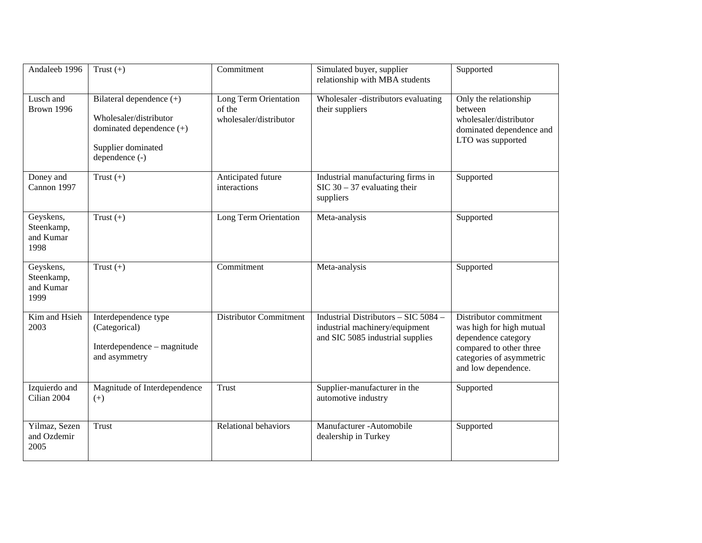| Andaleeb 1996                                | Trust $(+)$                                                                                                            | Commitment                                                | Simulated buyer, supplier<br>relationship with MBA students                                                | Supported                                                                                                                                               |
|----------------------------------------------|------------------------------------------------------------------------------------------------------------------------|-----------------------------------------------------------|------------------------------------------------------------------------------------------------------------|---------------------------------------------------------------------------------------------------------------------------------------------------------|
| Lusch and<br>Brown 1996                      | Bilateral dependence (+)<br>Wholesaler/distributor<br>dominated dependence (+)<br>Supplier dominated<br>dependence (-) | Long Term Orientation<br>of the<br>wholesaler/distributor | Wholesaler -distributors evaluating<br>their suppliers                                                     | Only the relationship<br>between<br>wholesaler/distributor<br>dominated dependence and<br>LTO was supported                                             |
| Doney and<br>Cannon 1997                     | Trust $(+)$                                                                                                            | Anticipated future<br>interactions                        | Industrial manufacturing firms in<br>$SIC$ 30 – 37 evaluating their<br>suppliers                           | Supported                                                                                                                                               |
| Geyskens,<br>Steenkamp,<br>and Kumar<br>1998 | Trust $(+)$                                                                                                            | Long Term Orientation                                     | Meta-analysis                                                                                              | Supported                                                                                                                                               |
| Geyskens,<br>Steenkamp,<br>and Kumar<br>1999 | Trust $(+)$                                                                                                            | Commitment                                                | Meta-analysis                                                                                              | Supported                                                                                                                                               |
| Kim and Hsieh<br>2003                        | Interdependence type<br>(Categorical)<br>Interdependence - magnitude<br>and asymmetry                                  | <b>Distributor Commitment</b>                             | Industrial Distributors - SIC 5084 -<br>industrial machinery/equipment<br>and SIC 5085 industrial supplies | Distributor commitment<br>was high for high mutual<br>dependence category<br>compared to other three<br>categories of asymmetric<br>and low dependence. |
| Izquierdo and<br>Cilian 2004                 | Magnitude of Interdependence<br>$(+)$                                                                                  | <b>Trust</b>                                              | Supplier-manufacturer in the<br>automotive industry                                                        | Supported                                                                                                                                               |
| Yilmaz, Sezen<br>and Ozdemir<br>2005         | Trust                                                                                                                  | Relational behaviors                                      | Manufacturer - Automobile<br>dealership in Turkey                                                          | Supported                                                                                                                                               |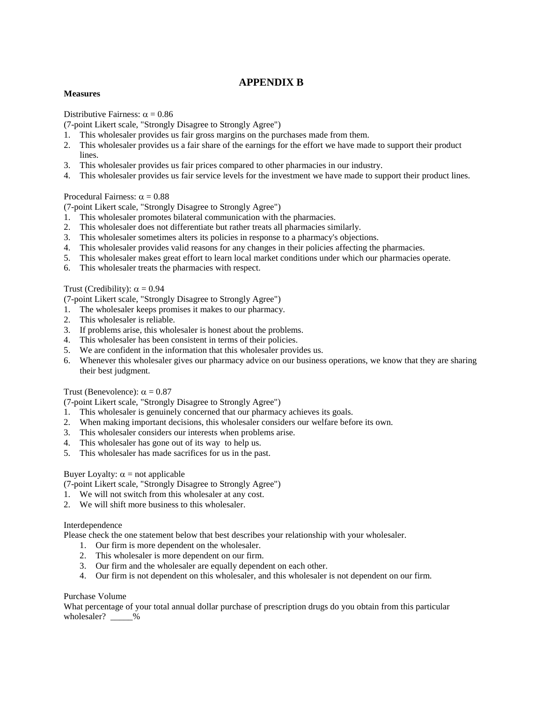## **APPENDIX B**

#### **Measures**

Distributive Fairness:  $\alpha = 0.86$ 

(7-point Likert scale, "Strongly Disagree to Strongly Agree")

- 1. This wholesaler provides us fair gross margins on the purchases made from them.
- 2. This wholesaler provides us a fair share of the earnings for the effort we have made to support their product lines.
- 3. This wholesaler provides us fair prices compared to other pharmacies in our industry.
- 4. This wholesaler provides us fair service levels for the investment we have made to support their product lines.

#### Procedural Fairness:  $\alpha = 0.88$

(7-point Likert scale, "Strongly Disagree to Strongly Agree")

- 1. This wholesaler promotes bilateral communication with the pharmacies.
- 2. This wholesaler does not differentiate but rather treats all pharmacies similarly.
- 3. This wholesaler sometimes alters its policies in response to a pharmacy's objections.
- 4. This wholesaler provides valid reasons for any changes in their policies affecting the pharmacies.
- 5. This wholesaler makes great effort to learn local market conditions under which our pharmacies operate.
- 6. This wholesaler treats the pharmacies with respect.

#### Trust (Credibility):  $\alpha = 0.94$

(7-point Likert scale, "Strongly Disagree to Strongly Agree")

- 1. The wholesaler keeps promises it makes to our pharmacy.
- 2. This wholesaler is reliable.
- 3. If problems arise, this wholesaler is honest about the problems.
- 4. This wholesaler has been consistent in terms of their policies.
- 5. We are confident in the information that this wholesaler provides us.
- 6. Whenever this wholesaler gives our pharmacy advice on our business operations, we know that they are sharing their best judgment.

#### Trust (Benevolence):  $\alpha = 0.87$

(7-point Likert scale, "Strongly Disagree to Strongly Agree")

- 1. This wholesaler is genuinely concerned that our pharmacy achieves its goals.
- 2. When making important decisions, this wholesaler considers our welfare before its own.
- 3. This wholesaler considers our interests when problems arise.
- 4. This wholesaler has gone out of its way to help us.
- 5. This wholesaler has made sacrifices for us in the past.

#### Buyer Loyalty:  $\alpha$  = not applicable

(7-point Likert scale, "Strongly Disagree to Strongly Agree")

- 1. We will not switch from this wholesaler at any cost.
- 2. We will shift more business to this wholesaler.

#### Interdependence

Please check the one statement below that best describes your relationship with your wholesaler.

- 1. Our firm is more dependent on the wholesaler.
- 2. This wholesaler is more dependent on our firm.
- 3. Our firm and the wholesaler are equally dependent on each other.
- 4. Our firm is not dependent on this wholesaler, and this wholesaler is not dependent on our firm.

#### Purchase Volume

What percentage of your total annual dollar purchase of prescription drugs do you obtain from this particular wholesaler? \_\_\_\_\_%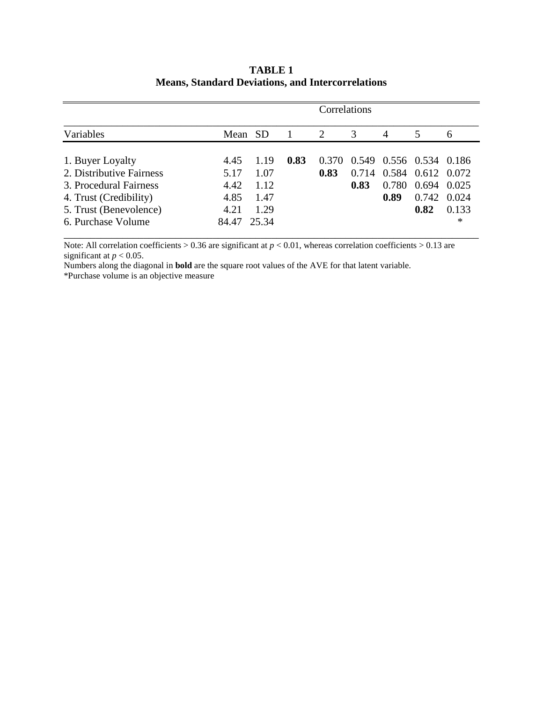|                          | Correlations |       |                |       |       |                   |                   |       |
|--------------------------|--------------|-------|----------------|-------|-------|-------------------|-------------------|-------|
| Variables                | Mean SD      |       | $\blacksquare$ | 2     | 3     | $\overline{4}$    | 5                 | 6     |
|                          |              |       |                |       |       |                   |                   |       |
| 1. Buyer Loyalty         | 4.45         | 1.19  | 0.83           | 0.370 | 0.549 | 0.556 0.534 0.186 |                   |       |
| 2. Distributive Fairness | 5.17         | 1.07  |                | 0.83  | 0.714 |                   | 0.584 0.612 0.072 |       |
| 3. Procedural Fairness   | 4.42         | 1.12  |                |       | 0.83  | 0.780             | 0.694             | 0.025 |
| 4. Trust (Credibility)   | 4.85         | 1.47  |                |       |       | 0.89              | 0.742 0.024       |       |
| 5. Trust (Benevolence)   | 4.21         | 1.29  |                |       |       |                   | 0.82              | 0.133 |
| 6. Purchase Volume       | 84.47        | 25.34 |                |       |       |                   |                   | ∗     |

## **TABLE 1 Means, Standard Deviations, and Intercorrelations**

Note: All correlation coefficients  $> 0.36$  are significant at  $p < 0.01$ , whereas correlation coefficients  $> 0.13$  are significant at  $p < 0.05$ .

Numbers along the diagonal in **bold** are the square root values of the AVE for that latent variable.

\*Purchase volume is an objective measure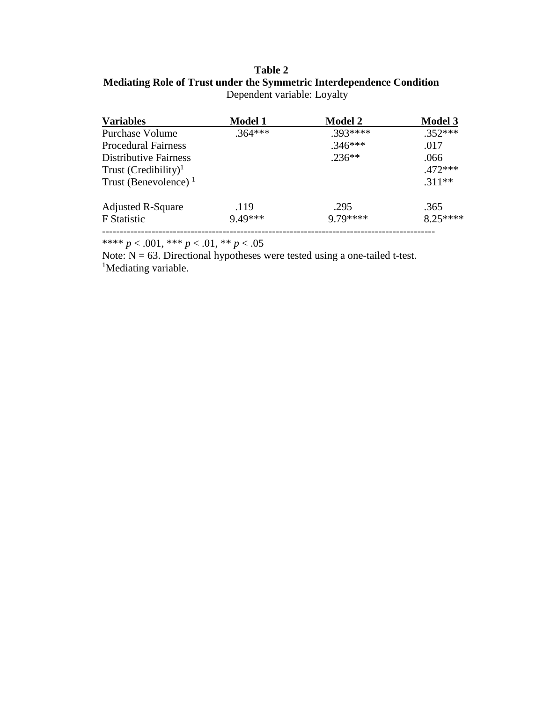## **Table 2 Mediating Role of Trust under the Symmetric Interdependence Condition** Dependent variable: Loyalty

| <b>Variables</b>           | <b>Model 1</b> | <b>Model 2</b> | <b>Model 3</b> |
|----------------------------|----------------|----------------|----------------|
| <b>Purchase Volume</b>     | $.364***$      | $.393****$     | $.352***$      |
| <b>Procedural Fairness</b> |                | $.346***$      | .017           |
| Distributive Fairness      |                | $.236**$       | .066           |
| Trust $(Credibility)^1$    |                |                | $.472***$      |
| Trust (Benevolence) $1$    |                |                | $.311**$       |
| <b>Adjusted R-Square</b>   | .119           | .295           | .365           |
| <b>F</b> Statistic         | 9.49***        | 9 79****       | $8.25***$      |
|                            |                |                |                |

\*\*\*\* *p* < .001, \*\*\* *p* < .01, \*\* *p* < .05

Note:  $N = 63$ . Directional hypotheses were tested using a one-tailed t-test. <sup>1</sup>Mediating variable.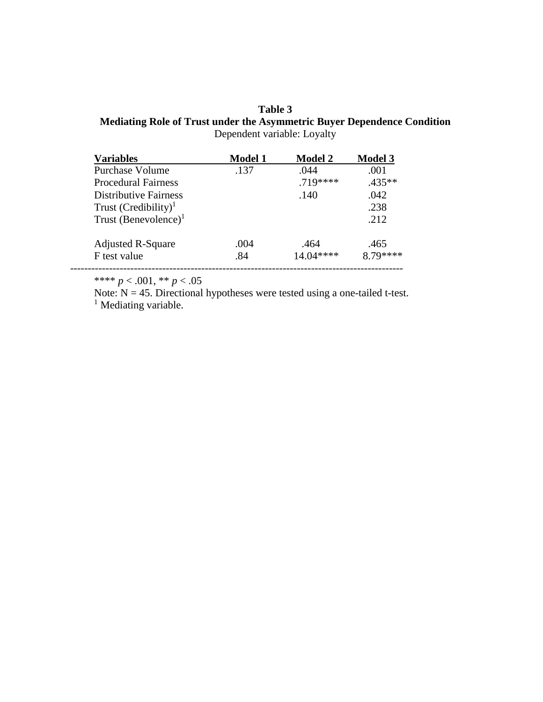## **Table 3 Mediating Role of Trust under the Asymmetric Buyer Dependence Condition** Dependent variable: Loyalty

| <b>Variables</b>                 | <b>Model 1</b> | <b>Model 2</b> | <b>Model 3</b> |
|----------------------------------|----------------|----------------|----------------|
| <b>Purchase Volume</b>           | .137           | .044           | .001           |
| <b>Procedural Fairness</b>       |                | $.719***$      | $.435**$       |
| Distributive Fairness            |                | .140           | .042           |
| Trust $(Credibility)^1$          |                |                | .238           |
| Trust (Benevolence) <sup>1</sup> |                |                | .212           |
| <b>Adjusted R-Square</b>         | .004           | .464           | .465           |
| F test value                     | .84            | $14.04***$     | $879***$       |

\*\*\*\* *p* < .001, \*\* *p* < .05

Note:  $N = 45$ . Directional hypotheses were tested using a one-tailed t-test. <sup>1</sup> Mediating variable.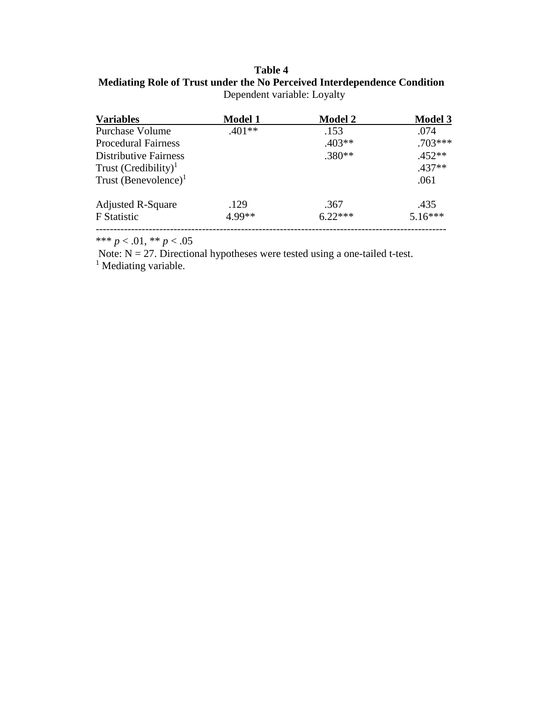## **Table 4 Mediating Role of Trust under the No Perceived Interdependence Condition** Dependent variable: Loyalty

| <b>Model 1</b> | <b>Model 2</b> | <b>Model 3</b> |
|----------------|----------------|----------------|
| $.401**$       | .153           | .074           |
|                | $.403**$       | $.703***$      |
|                | $.380**$       | $.452**$       |
|                |                | $.437**$       |
|                |                | .061           |
| .129           | .367           | .435           |
| 4.99**         | $6.22***$      | $5.16***$      |
|                |                |                |

\*\*\* *p* < .01, \*\* *p* < .05

Note:  $N = 27$ . Directional hypotheses were tested using a one-tailed t-test. <sup>1</sup> Mediating variable.